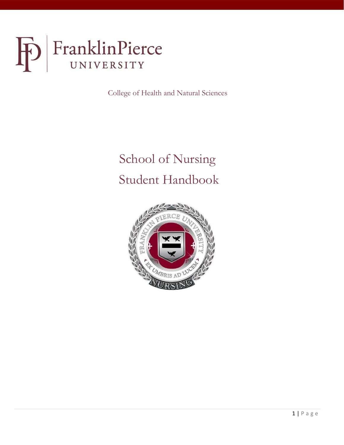

College of Health and Natural Sciences

# School of Nursing Student Handbook

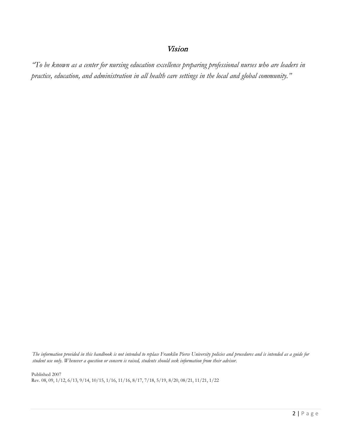# Vision

*"To be known as a center for nursing education excellence preparing professional nurses who are leaders in practice, education, and administration in all health care settings in the local and global community."*

*The information provided in this handbook is not intended to replace Franklin Pierce University policies and procedures and is intended as a guide for student use only. Whenever a question or concern is raised, students should seek information from their advisor.*

Published 2007 Rev. 08, 09, 1/12, 6/13, 9/14, 10/15, 1/16, 11/16, 8/17, 7/18, 5/19, 8/20, 08/21, 11/21, 1/22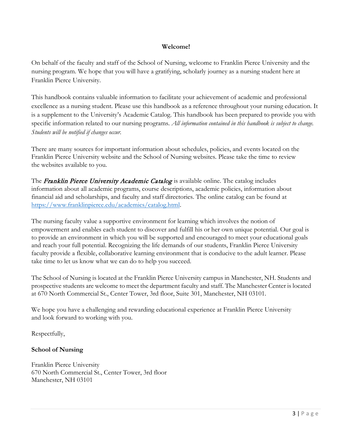## **Welcome!**

On behalf of the faculty and staff of the School of Nursing, welcome to Franklin Pierce University and the nursing program. We hope that you will have a gratifying, scholarly journey as a nursing student here at Franklin Pierce University.

This handbook contains valuable information to facilitate your achievement of academic and professional excellence as a nursing student. Please use this handbook as a reference throughout your nursing education. It is a supplement to the University's Academic Catalog. This handbook has been prepared to provide you with specific information related to our nursing programs. *All information contained in this handbook is subject to change. Students will be notified if changes occur.*

There are many sources for important information about schedules, policies, and events located on the Franklin Pierce University website and the School of Nursing websites. Please take the time to review the websites available to you.

The Franklin Pierce University Academic Catalog is available online. The catalog includes information about all academic programs, course descriptions, academic policies, information about financial aid and scholarships, and faculty and staff directories. The online catalog can be found at [https://www.franklinpierce.edu/academics/catalog.html.](https://www.franklinpierce.edu/academics/catalog.html)

The nursing faculty value a supportive environment for learning which involves the notion of empowerment and enables each student to discover and fulfill his or her own unique potential. Our goal is to provide an environment in which you will be supported and encouraged to meet your educational goals and reach your full potential. Recognizing the life demands of our students, Franklin Pierce University faculty provide a flexible, collaborative learning environment that is conducive to the adult learner. Please take time to let us know what we can do to help you succeed.

The School of Nursing is located at the Franklin Pierce University campus in Manchester, NH. Students and prospective students are welcome to meet the department faculty and staff. The Manchester Center is located at 670 North Commercial St., Center Tower, 3rd floor, Suite 301, Manchester, NH 03101.

We hope you have a challenging and rewarding educational experience at Franklin Pierce University and look forward to working with you.

Respectfully,

# **School of Nursing**

Franklin Pierce University 670 North Commercial St., Center Tower, 3rd floor Manchester, NH 03101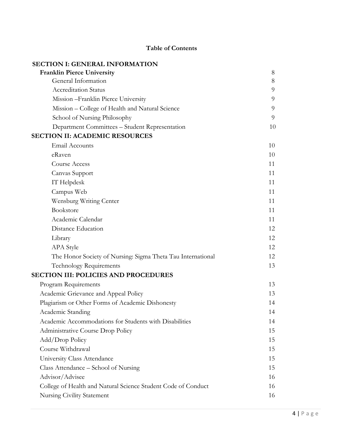# **Table of Contents**

| <b>SECTION I: GENERAL INFORMATION</b>                         |    |
|---------------------------------------------------------------|----|
| <b>Franklin Pierce University</b>                             | 8  |
| General Information                                           | 8  |
| <b>Accreditation Status</b>                                   | 9  |
| Mission - Franklin Pierce University                          | 9  |
| Mission – College of Health and Natural Science               | 9  |
| School of Nursing Philosophy                                  | 9  |
| Department Committees - Student Representation                | 10 |
| <b>SECTION II: ACADEMIC RESOURCES</b>                         |    |
| <b>Email Accounts</b>                                         | 10 |
| eRaven                                                        | 10 |
| Course Access                                                 | 11 |
| Canvas Support                                                | 11 |
| IT Helpdesk                                                   | 11 |
| Campus Web                                                    | 11 |
| Wensburg Writing Center                                       | 11 |
| Bookstore                                                     | 11 |
| Academic Calendar                                             | 11 |
| Distance Education                                            | 12 |
| Library                                                       | 12 |
| <b>APA</b> Style                                              | 12 |
| The Honor Society of Nursing: Sigma Theta Tau International   | 12 |
| Technology Requirements                                       | 13 |
| <b>SECTION III: POLICIES AND PROCEDURES</b>                   |    |
| Program Requirements                                          | 13 |
| Academic Grievance and Appeal Policy                          | 13 |
| Plagiarism or Other Forms of Academic Dishonesty              | 14 |
| Academic Standing                                             | 14 |
| Academic Accommodations for Students with Disabilities        | 14 |
| Administrative Course Drop Policy                             | 15 |
| Add/Drop Policy                                               | 15 |
| Course Withdrawal                                             | 15 |
| University Class Attendance                                   | 15 |
| Class Attendance – School of Nursing                          | 15 |
| Advisor/Advisee                                               | 16 |
| College of Health and Natural Science Student Code of Conduct | 16 |
| Nursing Civility Statement                                    | 16 |
|                                                               |    |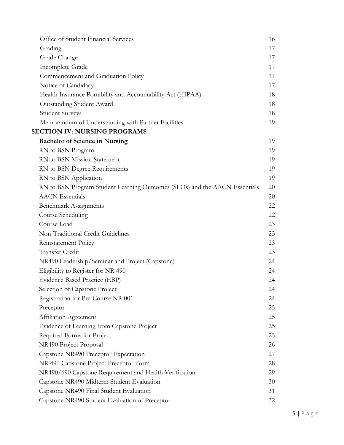| Office of Student Financial Services                                       | 16 |
|----------------------------------------------------------------------------|----|
| Grading                                                                    | 17 |
| Grade Change                                                               | 17 |
| Incomplete Grade                                                           | 17 |
| Commencement and Graduation Policy                                         | 17 |
| Notice of Candidacy                                                        | 17 |
| Health Insurance Portability and Accountability Act (HIPAA)                | 18 |
| Outstanding Student Award                                                  | 18 |
| <b>Student Surveys</b>                                                     | 18 |
| Memorandum of Understanding with Partner Facilities                        | 19 |
| <b>SECTION IV: NURSING PROGRAMS</b>                                        |    |
| <b>Bachelor of Science in Nursing</b>                                      | 19 |
| RN to BSN Program                                                          | 19 |
| RN to BSN Mission Statement                                                | 19 |
| RN to BSN Degree Requirements                                              | 19 |
| RN to BSN Application                                                      | 19 |
| RN to BSN Program Student Learning Outcomes (SLOs) and the AACN Essentials | 20 |
| <b>AACN</b> Essentials                                                     | 20 |
| <b>Benchmark Assignments</b>                                               | 22 |
| Course Scheduling                                                          | 22 |
| Course Load                                                                | 23 |
| Non-Traditional Credit Guidelines                                          | 23 |
| Reinstatement Policy                                                       | 23 |
| Transfer Credit                                                            | 23 |
| NR490 Leadership/Seminar and Project (Capstone)                            | 24 |
| Eligibility to Register for NR 490                                         | 24 |
| Evidence Based Practice (EBP)                                              | 24 |
| Selection of Capstone Project                                              | 24 |
| Registration for Pre-Course NR 001                                         | 24 |
| Preceptor                                                                  | 25 |
| Affiliation Agreement                                                      | 25 |
| Evidence of Learning from Capstone Project                                 | 25 |
| Required Forms for Project                                                 | 25 |
| NR490 Project Proposal                                                     | 26 |
| Capstone NR490 Preceptor Expectation                                       | 27 |
| NR 490 Capstone Project Preceptor Form                                     | 28 |
| NR490/690 Capstone Requirement and Health Verification                     | 29 |
| Capstone NR490 Midterm Student Evaluation                                  | 30 |
| Capstone NR490 Final Student Evaluation                                    | 31 |
| Capstone NR490 Student Evaluation of Preceptor                             | 32 |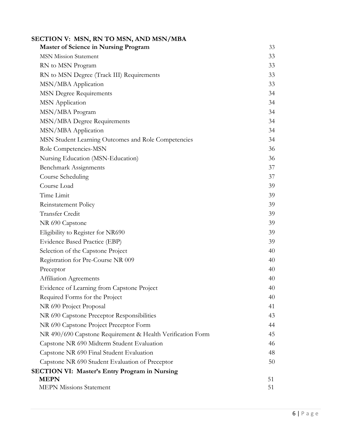| SECTION V: MSN, RN TO MSN, AND MSN/MBA                     |    |
|------------------------------------------------------------|----|
| <b>Master of Science in Nursing Program</b>                | 33 |
| <b>MSN Mission Statement</b>                               | 33 |
| RN to MSN Program                                          | 33 |
| RN to MSN Degree (Track III) Requirements                  | 33 |
| MSN/MBA Application                                        | 33 |
| <b>MSN Degree Requirements</b>                             | 34 |
| <b>MSN</b> Application                                     | 34 |
| MSN/MBA Program                                            | 34 |
| MSN/MBA Degree Requirements                                | 34 |
| MSN/MBA Application                                        | 34 |
| MSN Student Learning Outcomes and Role Competencies        | 34 |
| Role Competencies-MSN                                      | 36 |
| Nursing Education (MSN-Education)                          | 36 |
| <b>Benchmark Assignments</b>                               | 37 |
| Course Scheduling                                          | 37 |
| Course Load                                                | 39 |
| Time Limit                                                 | 39 |
| Reinstatement Policy                                       | 39 |
| <b>Transfer Credit</b>                                     | 39 |
| NR 690 Capstone                                            | 39 |
| Eligibility to Register for NR690                          | 39 |
| Evidence Based Practice (EBP)                              | 39 |
| Selection of the Capstone Project                          | 40 |
| Registration for Pre-Course NR 009                         | 40 |
| Preceptor                                                  | 40 |
| Affiliation Agreements                                     | 40 |
| Evidence of Learning from Capstone Project                 | 40 |
| Required Forms for the Project                             | 40 |
| NR 690 Project Proposal                                    | 41 |
| NR 690 Capstone Preceptor Responsibilities                 | 43 |
| NR 690 Capstone Project Preceptor Form                     | 44 |
| NR 490/690 Capstone Requirement & Health Verification Form | 45 |
| Capstone NR 690 Midterm Student Evaluation                 | 46 |
| Capstone NR 690 Final Student Evaluation                   | 48 |
| Capstone NR 690 Student Evaluation of Preceptor            | 50 |
| <b>SECTION VI: Master's Entry Program in Nursing</b>       |    |
| <b>MEPN</b>                                                | 51 |
| <b>MEPN Missions Statement</b>                             | 51 |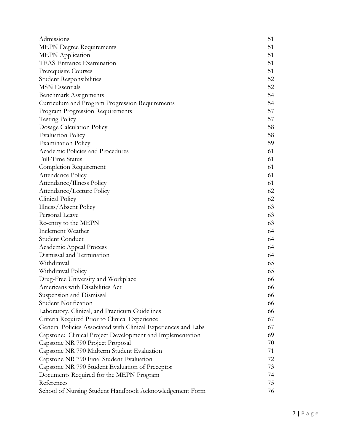| Admissions                                                     | 51 |
|----------------------------------------------------------------|----|
| <b>MEPN Degree Requirements</b>                                | 51 |
| <b>MEPN</b> Application                                        | 51 |
| TEAS Entrance Examination                                      | 51 |
| Prerequisite Courses                                           | 51 |
| <b>Student Responsibilities</b>                                | 52 |
| <b>MSN</b> Essentials                                          | 52 |
| Benchmark Assignments                                          | 54 |
| Curriculum and Program Progression Requirements                | 54 |
| Program Progression Requirements                               | 57 |
| <b>Testing Policy</b>                                          | 57 |
| Dosage Calculation Policy                                      | 58 |
| <b>Evaluation Policy</b>                                       | 58 |
| <b>Examination Policy</b>                                      | 59 |
| Academic Policies and Procedures                               | 61 |
| Full-Time Status                                               | 61 |
| Completion Requirement                                         | 61 |
| Attendance Policy                                              | 61 |
| Attendance/Illness Policy                                      | 61 |
| Attendance/Lecture Policy                                      | 62 |
| Clinical Policy                                                | 62 |
| Illness/Absent Policy                                          | 63 |
| Personal Leave                                                 | 63 |
| Re-entry to the MEPN                                           | 63 |
| Inclement Weather                                              | 64 |
| Student Conduct                                                | 64 |
| Academic Appeal Process                                        | 64 |
| Dismissal and Termination                                      | 64 |
| Withdrawal                                                     | 65 |
| Withdrawal Policy                                              | 65 |
| Drug-Free University and Workplace                             | 66 |
| Americans with Disabilities Act                                | 66 |
| Suspension and Dismissal                                       | 66 |
| <b>Student Notification</b>                                    | 66 |
| Laboratory, Clinical, and Practicum Guidelines                 | 66 |
| Criteria Required Prior to Clinical Experience                 | 67 |
| General Policies Associated with Clinical Experiences and Labs | 67 |
| Capstone: Clinical Project Development and Implementation      | 69 |
| Capstone NR 790 Project Proposal                               | 70 |
| Capstone NR 790 Midterm Student Evaluation                     | 71 |
| Capstone NR 790 Final Student Evaluation                       | 72 |
| Capstone NR 790 Student Evaluation of Preceptor                | 73 |
| Documents Required for the MEPN Program                        | 74 |
| References                                                     | 75 |
| School of Nursing Student Handbook Acknowledgement Form        | 76 |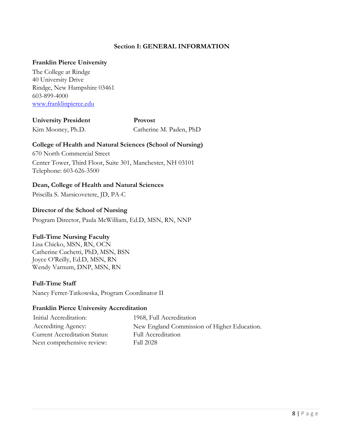# **Section I: GENERAL INFORMATION**

#### **Franklin Pierce University**

The College at Rindge 40 University Drive Rindge, New Hampshire 03461 603-899-4000 [www.franklinpierce.edu](http://www.franklinpierce.edu/)

**University President** Kim Mooney, Ph.D. **Provost** Catherine M. Paden, PhD

#### **College of Health and Natural Sciences (School of Nursing)**

670 North Commercial Street Center Tower, Third Floor, Suite 301, Manchester, NH 03101 Telephone: 603-626-3500

#### **Dean, College of Health and Natural Sciences**

Priscilla S. Marsicovetere, JD, PA-C

#### **Director of the School of Nursing**

Program Director, Paula McWilliam, Ed.D, MSN, RN, NNP

#### **Full-Time Nursing Faculty**

Lisa Chicko, MSN, RN, OCN Catherine Cuchetti, PhD, MSN, BSN Joyce O'Reilly, Ed.D, MSN, RN Wendy Varnum, DNP, MSN, RN

#### **Full-Time Staff**

Nancy Ferrer-Tatkowska, Program Coordinator II

#### **Franklin Pierce University Accreditation**

Initial Accreditation: Accrediting Agency: Current Accreditation Status: Next comprehensive review:

1968, Full Accreditation New England Commission of Higher Education. Full Accreditation Fall 2028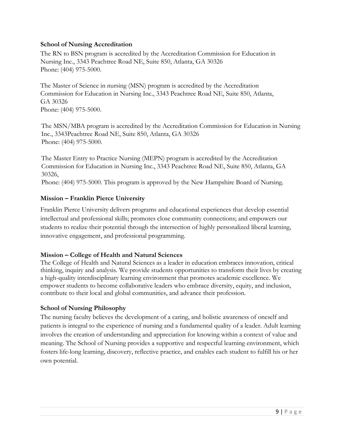#### **School of Nursing Accreditation**

The RN to BSN program is accredited by the Accreditation Commission for Education in Nursing Inc., 3343 Peachtree Road NE, Suite 850, Atlanta, GA 30326 Phone: (404) 975-5000.

The Master of Science in nursing (MSN) program is accredited by the Accreditation Commission for Education in Nursing Inc., 3343 Peachtree Road NE, Suite 850, Atlanta, GA 30326 Phone: (404) 975-5000.

The MSN/MBA program is accredited by the Accreditation Commission for Education in Nursing Inc., 3343Peachtree Road NE, Suite 850, Atlanta, GA 30326 Phone: (404) 975-5000.

The Master Entry to Practice Nursing (MEPN) program is accredited by the Accreditation Commission for Education in Nursing Inc., 3343 Peachtree Road NE, Suite 850, Atlanta, GA 30326,

Phone: (404) 975-5000. This program is approved by the New Hampshire Board of Nursing.

#### **Mission – Franklin Pierce University**

Franklin Pierce University delivers programs and educational experiences that develop essential intellectual and professional skills; promotes close community connections; and empowers our students to realize their potential through the intersection of highly personalized liberal learning, innovative engagement, and professional programming.

# **Mission – College of Health and Natural Sciences**

The College of Health and Natural Sciences as a leader in education embraces innovation, critical thinking, inquiry and analysis. We provide students opportunities to transform their lives by creating a high-quality interdisciplinary learning environment that promotes academic excellence. We empower students to become collaborative leaders who embrace diversity, equity, and inclusion, contribute to their local and global communities, and advance their profession.

#### **School of Nursing Philosophy**

The nursing faculty believes the development of a caring, and holistic awareness of oneself and patients is integral to the experience of nursing and a fundamental quality of a leader. Adult learning involves the creation of understanding and appreciation for knowing within a context of value and meaning. The School of Nursing provides a supportive and respectful learning environment, which fosters life-long learning, discovery, reflective practice, and enables each student to fulfill his or her own potential.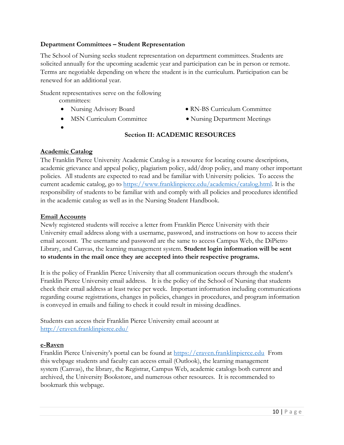## **Department Committees – Student Representation**

The School of Nursing seeks student representation on department committees. Students are solicited annually for the upcoming academic year and participation can be in person or remote. Terms are negotiable depending on where the student is in the curriculum. Participation can be renewed for an additional year.

Student representatives serve on the following

committees:

- 
- MSN Curriculum Committee Nursing Department Meetings
- •
- Nursing Advisory Board RN-BS Curriculum Committee
	-

## **Section II: ACADEMIC RESOURCES**

#### **Academic Catalog**

The Franklin Pierce University Academic Catalog is a resource for locating course descriptions, academic grievance and appeal policy, plagiarism policy, add/drop policy, and many other important policies. All students are expected to read and be familiar with University policies. To access the current academic catalog, go to [https://www.franklinpierce.edu/academics/catalog.html.](https://www.franklinpierce.edu/academics/catalog.html) It is the responsibility of students to be familiar with and comply with all policies and procedures identified in the academic catalog as well as in the Nursing Student Handbook.

#### **Email Accounts**

Newly registered students will receive a letter from Franklin Pierce University with their University email address along with a username, password, and instructions on how to access their email account. The username and password are the same to access Campus Web, the DiPietro Library, and Canvas, the learning management system. **Student login information will be sent to students in the mail once they are accepted into their respective programs.**

It is the policy of Franklin Pierce University that all communication occurs through the student's Franklin Pierce University email address. It is the policy of the School of Nursing that students check their email address at least twice per week. Important information including communications regarding course registrations, changes in policies, changes in procedures, and program information is conveyed in emails and failing to check it could result in missing deadlines.

Students can access their Franklin Pierce University email account at <http://eraven.franklinpierce.edu/>

#### **e-Raven**

Franklin Pierce University's portal can be found at [https://eraven.franklinpierce.edu](https://eraven.franklinpierce.edu/) From this webpage students and faculty can access email (Outlook), the learning management system (Canvas), the library, the Registrar, Campus Web, academic catalogs both current and archived, the University Bookstore, and numerous other resources. It is recommended to bookmark this webpage.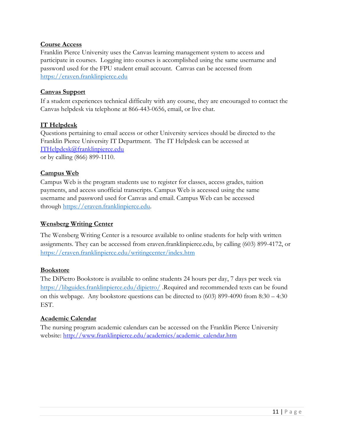#### **Course Access**

Franklin Pierce University uses the Canvas learning management system to access and participate in courses. Logging into courses is accomplished using the same username and password used for the FPU student email account. Canvas can be accessed from [https://eraven.franklinpierce.edu](https://eraven.franklinpierce.edu/)

## **Canvas Support**

If a student experiences technical difficulty with any course, they are encouraged to contact the Canvas helpdesk via telephone at 866-443-0656, email, or live chat.

#### **IT Helpdesk**

Questions pertaining to email access or other University services should be directed to the Franklin Pierce University IT Department. The IT Helpdesk can be accessed at [ITHelpdesk@franklinpierce.edu](mailto:ITHelpdesk@franklinpierce.edu) or by calling (866) 899-1110.

#### **Campus Web**

Campus Web is the program students use to register for classes, access grades, tuition payments, and access unofficial transcripts. Campus Web is accessed using the same username and password used for Canvas and email. Campus Web can be accessed through [https://eraven.franklinpierce.edu.](https://eraven.franklinpierce.edu/)

#### **Wensberg Writing Center**

The Wensberg Writing Center is a resource available to online students for help with written assignments. They can be accessed from eraven.franklinpierce.edu, by calling (603) 899-4172, or <https://eraven.franklinpierce.edu/writingcenter/index.htm>

#### **Bookstore**

The DiPietro Bookstore is available to online students 24 hours per day, 7 days per week via <https://libguides.franklinpierce.edu/dipietro/> .Required and recommended texts can be found on this webpage. Any bookstore questions can be directed to (603) 899-4090 from 8:30 – 4:30 EST.

#### **Academic Calendar**

The nursing program academic calendars can be accessed on the Franklin Pierce University website: [http://www.franklinpierce.edu/academics/academic\\_calendar.htm](http://www.franklinpierce.edu/academics/academic_calendar.htm)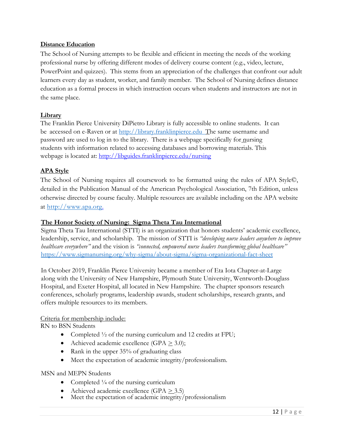#### **Distance Education**

The School of Nursing attempts to be flexible and efficient in meeting the needs of the working professional nurse by offering different modes of delivery course content (e.g., video, lecture, PowerPoint and quizzes). This stems from an appreciation of the challenges that confront our adult learners every day as student, worker, and family member. The School of Nursing defines distance education as a formal process in which instruction occurs when students and instructors are not in the same place.

#### **Library**

The Franklin Pierce University DiPietro Library is fully accessible to online students. It can be accessed on e-Raven or at http://library.franklinpierce.edu The same username and password are used to log in to the library. There is a webpage specifically for nursing students with information related to accessing databases and borrowing materials. This webpage is located at:<http://libguides.franklinpierce.edu/nursing>

#### **APA Style**

The School of Nursing requires all coursework to be formatted using the rules of APA Style©, detailed in the Publication Manual of the American Psychological Association, 7th Edition, unless otherwise directed by course faculty. Multiple resources are available including on the APA website at http://www.apa.org.

#### **The Honor Society of Nursing: Sigma Theta Tau International**

Sigma Theta Tau International (STTI) is an organization that honors students' academic excellence, leadership, service, and scholarship. The mission of STTI is *"developing nurse leaders anywhere to improve healthcare everywhere"* and the vision is *"connected, empowered nurse leaders transforming global healthcare"* <https://www.sigmanursing.org/why-sigma/about-sigma/sigma-organizational-fact-sheet>

In October 2019, Franklin Pierce University became a member of Eta Iota Chapter-at-Large along with the University of New Hampshire, Plymouth State University, Wentworth-Douglass Hospital, and Exeter Hospital, all located in New Hampshire. The chapter sponsors research conferences, scholarly programs, leadership awards, student scholarships, research grants, and offers multiple resources to its members.

#### Criteria for membership include:

RN to BSN Students

- Completed <sup>1</sup>/<sub>2</sub> of the nursing curriculum and 12 credits at FPU;
- Achieved academic excellence (GPA  $\geq$  3.0);
- Rank in the upper 35% of graduating class
- Meet the expectation of academic integrity/professionalism.

#### MSN and MEPN Students

- Completed  $\frac{1}{4}$  of the nursing curriculum
- Achieved academic excellence  $(GPA > 3.5)$
- Meet the expectation of academic integrity/professionalism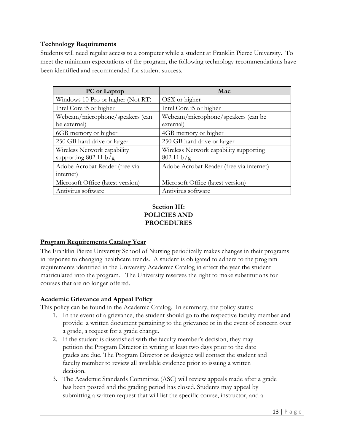# **Technology Requirements**

Students will need regular access to a computer while a student at Franklin Pierce University. To meet the minimum expectations of the program, the following technology recommendations have been identified and recommended for student success.

| <b>PC</b> or Laptop               | Mac                                      |
|-----------------------------------|------------------------------------------|
| Windows 10 Pro or higher (Not RT) | OSX or higher                            |
| Intel Core i5 or higher           | Intel Core i5 or higher                  |
| Webcam/microphone/speakers (can   | Webcam/microphone/speakers (can be       |
| be external)                      | external)                                |
| 6GB memory or higher              | 4GB memory or higher                     |
| 250 GB hard drive or larger       | 250 GB hard drive or larger              |
| Wireless Network capability       | Wireless Network capability supporting   |
| supporting 802.11 b/g             | 802.11 b/g                               |
| Adobe Acrobat Reader (free via    | Adobe Acrobat Reader (free via internet) |
| internet)                         |                                          |
| Microsoft Office (latest version) | Microsoft Office (latest version)        |
| Antivirus software                | Antivirus software                       |

# **Section III: POLICIES AND PROCEDURES**

# **Program Requirements Catalog Year**

The Franklin Pierce University School of Nursing periodically makes changes in their programs in response to changing healthcare trends. A student is obligated to adhere to the program requirements identified in the University Academic Catalog in effect the year the student matriculated into the program. The University reserves the right to make substitutions for courses that are no longer offered.

# **Academic Grievance and Appeal Policy**

This policy can be found in the Academic Catalog. In summary, the policy states:

- 1. In the event of a grievance, the student should go to the respective faculty member and provide a written document pertaining to the grievance or in the event of concern over a grade, a request for a grade change.
- 2. If the student is dissatisfied with the faculty member's decision, they may petition the Program Director in writing at least two days prior to the date grades are due. The Program Director or designee will contact the student and faculty member to review all available evidence prior to issuing a written decision.
- 3. The Academic Standards Committee (ASC) will review appeals made after a grade has been posted and the grading period has closed. Students may appeal by submitting a written request that will list the specific course, instructor, and a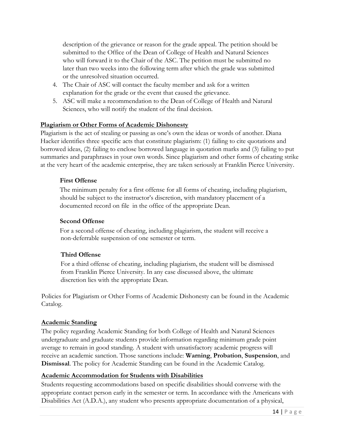description of the grievance or reason for the grade appeal. The petition should be submitted to the Office of the Dean of College of Health and Natural Sciences who will forward it to the Chair of the ASC. The petition must be submitted no later than two weeks into the following term after which the grade was submitted or the unresolved situation occurred.

- 4. The Chair of ASC will contact the faculty member and ask for a written explanation for the grade or the event that caused the grievance.
- 5. ASC will make a recommendation to the Dean of College of Health and Natural Sciences, who will notify the student of the final decision.

# **Plagiarism or Other Forms of Academic Dishonesty**

Plagiarism is the act of stealing or passing as one's own the ideas or words of another. Diana Hacker identifies three specific acts that constitute plagiarism: (1) failing to cite quotations and borrowed ideas, (2) failing to enclose borrowed language in quotation marks and (3) failing to put summaries and paraphrases in your own words. Since plagiarism and other forms of cheating strike at the very heart of the academic enterprise, they are taken seriously at Franklin Pierce University.

# **First Offense**

The minimum penalty for a first offense for all forms of cheating, including plagiarism, should be subject to the instructor's discretion, with mandatory placement of a documented record on file in the office of the appropriate Dean.

# **Second Offense**

For a second offense of cheating, including plagiarism, the student will receive a non-deferrable suspension of one semester or term.

# **Third Offense**

For a third offense of cheating, including plagiarism, the student will be dismissed from Franklin Pierce University. In any case discussed above, the ultimate discretion lies with the appropriate Dean.

Policies for Plagiarism or Other Forms of Academic Dishonesty can be found in the Academic Catalog*.*

# **Academic Standing**

The policy regarding Academic Standing for both College of Health and Natural Sciences undergraduate and graduate students provide information regarding minimum grade point average to remain in good standing. A student with unsatisfactory academic progress will receive an academic sanction. Those sanctions include: **Warning**, **Probation**, **Suspension**, and **Dismissal**. The policy for Academic Standing can be found in the Academic Catalog*.*

# **Academic Accommodation for Students with Disabilities**

Students requesting accommodations based on specific disabilities should converse with the appropriate contact person early in the semester or term. In accordance with the Americans with Disabilities Act (A.D.A.), any student who presents appropriate documentation of a physical,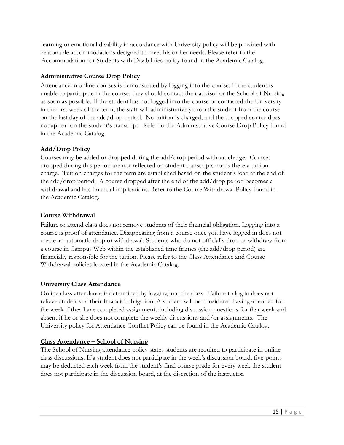learning or emotional disability in accordance with University policy will be provided with reasonable accommodations designed to meet his or her needs. Please refer to the Accommodation for Students with Disabilities policy found in the Academic Catalog.

# **Administrative Course Drop Policy**

Attendance in online courses is demonstrated by logging into the course. If the student is unable to participate in the course, they should contact their advisor or the School of Nursing as soon as possible. If the student has not logged into the course or contacted the University in the first week of the term, the staff will administratively drop the student from the course on the last day of the add/drop period. No tuition is charged, and the dropped course does not appear on the student's transcript. Refer to the Administrative Course Drop Policy found in the Academic Catalog.

# **Add/Drop Policy**

Courses may be added or dropped during the add/drop period without charge. Courses dropped during this period are not reflected on student transcripts nor is there a tuition charge. Tuition charges for the term are established based on the student's load at the end of the add/drop period. A course dropped after the end of the add/drop period becomes a withdrawal and has financial implications. Refer to the Course Withdrawal Policy found in the Academic Catalog.

# **Course Withdrawal**

Failure to attend class does not remove students of their financial obligation. Logging into a course is proof of attendance. Disappearing from a course once you have logged in does not create an automatic drop or withdrawal. Students who do not officially drop or withdraw from a course in Campus Web within the established time frames (the add/drop period) are financially responsible for the tuition. Please refer to the Class Attendance and Course Withdrawal policies located in the Academic Catalog.

# **University Class Attendance**

Online class attendance is determined by logging into the class. Failure to log in does not relieve students of their financial obligation. A student will be considered having attended for the week if they have completed assignments including discussion questions for that week and absent if he or she does not complete the weekly discussions and/or assignments. The University policy for Attendance Conflict Policy can be found in the Academic Catalog.

# **Class Attendance – School of Nursing**

The School of Nursing attendance policy states students are required to participate in online class discussions. If a student does not participate in the week's discussion board, five-points may be deducted each week from the student's final course grade for every week the student does not participate in the discussion board, at the discretion of the instructor.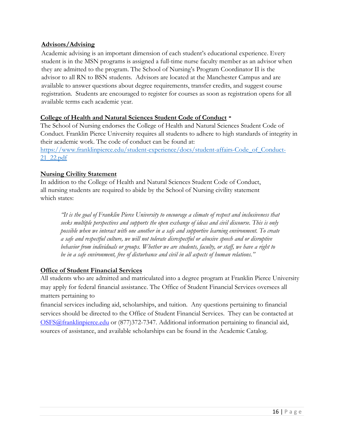#### **Advisors/Advising**

Academic advising is an important dimension of each student's educational experience. Every student is in the MSN programs is assigned a full-time nurse faculty member as an advisor when they are admitted to the program. The School of Nursing's Program Coordinator II is the advisor to all RN to BSN students. Advisors are located at the Manchester Campus and are available to answer questions about degree requirements, transfer credits, and suggest course registration. Students are encouraged to register for courses as soon as registration opens for all available terms each academic year.

#### **College of Health and Natural Sciences Student Code of Conduct**

The School of Nursing endorses the College of Health and Natural Sciences Student Code of Conduct. Franklin Pierce University requires all students to adhere to high standards of integrity in their academic work. The code of conduct can be found at: [https://www.franklinpierce.edu/student-experience/docs/student-affairs-Code\\_of\\_Conduct-](https://www.franklinpierce.edu/student-experience/docs/student-affairs-Code_of_Conduct-21_22.pdf)[21\\_22.pdf](https://www.franklinpierce.edu/student-experience/docs/student-affairs-Code_of_Conduct-21_22.pdf)

#### **Nursing Civility Statement**

In addition to the College of Health and Natural Sciences Student Code of Conduct, all nursing students are required to abide by the School of Nursing civility statement which states:

*"It is the goal of Franklin Pierce University to encourage a climate of respect and inclusiveness that seeks multiple perspectives and supports the open exchange of ideas and civil discourse. This is only possible when we interact with one another in a safe and supportive learning environment. To create a safe and respectful culture, we will not tolerate disrespectful or abusive speech and or disruptive behavior from individuals or groups. Whether we are students, faculty, or staff, we have a right to be in a safe environment, free of disturbance and civil in all aspects of human relations."*

# **Office of Student Financial Services**

All students who are admitted and matriculated into a degree program at Franklin Pierce University may apply for federal financial assistance. The Office of Student Financial Services oversees all matters pertaining to

financial services including aid, scholarships, and tuition. Any questions pertaining to financial services should be directed to the Office of Student Financial Services. They can be contacted at OSFS@franklinpierce.edu or (877)372-7347. Additional information pertaining to financial aid, sources of assistance, and available scholarships can be found in the Academic Catalog.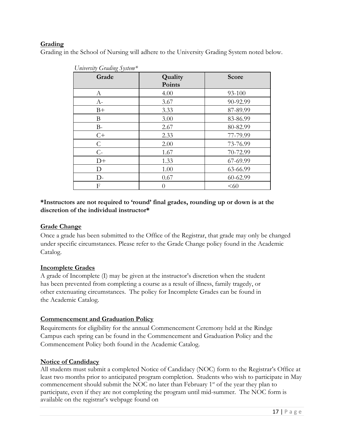# **Grading**

Grading in the School of Nursing will adhere to the University Grading System noted below.

| Chiversity Cruding System |         |          |
|---------------------------|---------|----------|
| Grade                     | Quality | Score    |
|                           | Points  |          |
|                           |         |          |
| А                         | 4.00    | 93-100   |
| $A-$                      | 3.67    | 90-92.99 |
| $B+$                      | 3.33    | 87-89.99 |
| Β                         | 3.00    | 83-86.99 |
| $B-$                      | 2.67    | 80-82.99 |
| $C+$                      | 2.33    | 77-79.99 |
| $\mathsf{C}$              | 2.00    | 73-76.99 |
| $C-$                      | 1.67    | 70-72.99 |
| $D+$                      | 1.33    | 67-69.99 |
| D                         | 1.00    | 63-66.99 |
| $D-$                      | 0.67    | 60-62.99 |
| $\mathbf{F}$              | 0       | <60      |



## **\*Instructors are not required to 'round' final grades, rounding up or down is at the discretion of the individual instructor\***

# **Grade Change**

Once a grade has been submitted to the Office of the Registrar, that grade may only be changed under specific circumstances. Please refer to the Grade Change policy found in the Academic Catalog.

# **Incomplete Grades**

A grade of Incomplete (I) may be given at the instructor's discretion when the student has been prevented from completing a course as a result of illness, family tragedy, or other extenuating circumstances. The policy for Incomplete Grades can be found in the Academic Catalog.

# **Commencement and Graduation Policy**

Requirements for eligibility for the annual Commencement Ceremony held at the Rindge Campus each spring can be found in the Commencement and Graduation Policy and the Commencement Policy both found in the Academic Catalog.

# **Notice of Candidacy**

All students must submit a completed Notice of Candidacy (NOC) form to the Registrar's Office at least two months prior to anticipated program completion. Students who wish to participate in May commencement should submit the NOC no later than February  $1<sup>st</sup>$  of the year they plan to participate, even if they are not completing the program until mid-summer. The NOC form is available on the registrar's webpage found on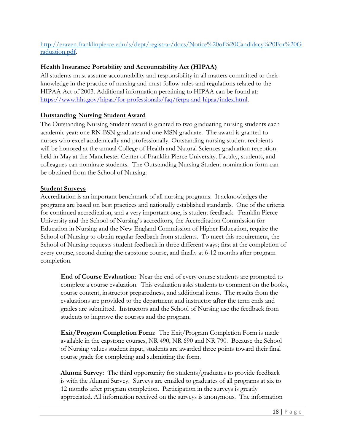# [http://eraven.franklinpierce.edu/s/dept/registrar/docs/Notice%20of%20Candidacy%20For%20G](http://eraven.franklinpierce.edu/s/dept/registrar/docs/Notice%20of%20Candidacy%20For%20Graduation.pdf) [raduation.pdf.](http://eraven.franklinpierce.edu/s/dept/registrar/docs/Notice%20of%20Candidacy%20For%20Graduation.pdf)

## **Health Insurance Portability and Accountability Act (HIPAA)**

All students must assume accountability and responsibility in all matters committed to their knowledge in the practice of nursing and must follow rules and regulations related to the HIPAA Act of 2003. Additional information pertaining to HIPAA can be found at: [https://www.hhs.gov/hipaa/for-professionals/faq/ferpa-and-hipaa/index.html.](https://www.hhs.gov/hipaa/for-professionals/faq/ferpa-and-hipaa/index.html)

#### **Outstanding Nursing Student Award**

The Outstanding Nursing Student award is granted to two graduating nursing students each academic year: one RN-BSN graduate and one MSN graduate. The award is granted to nurses who excel academically and professionally. Outstanding nursing student recipients will be honored at the annual College of Health and Natural Sciences graduation reception held in May at the Manchester Center of Franklin Pierce University. Faculty, students, and colleagues can nominate students. The Outstanding Nursing Student nomination form can be obtained from the School of Nursing.

#### **Student Surveys**

Accreditation is an important benchmark of all nursing programs. It acknowledges the programs are based on best practices and nationally established standards. One of the criteria for continued accreditation, and a very important one, is student feedback. Franklin Pierce University and the School of Nursing's accreditors, the Accreditation Commission for Education in Nursing and the New England Commission of Higher Education, require the School of Nursing to obtain regular feedback from students. To meet this requirement, the School of Nursing requests student feedback in three different ways; first at the completion of every course, second during the capstone course, and finally at 6-12 months after program completion.

**End of Course Evaluation**: Near the end of every course students are prompted to complete a course evaluation. This evaluation asks students to comment on the books, course content, instructor preparedness, and additional items. The results from the evaluations are provided to the department and instructor **after** the term ends and grades are submitted. Instructors and the School of Nursing use the feedback from students to improve the courses and the program.

**Exit/Program Completion Form**: The Exit/Program Completion Form is made available in the capstone courses, NR 490, NR 690 and NR 790. Because the School of Nursing values student input, students are awarded three points toward their final course grade for completing and submitting the form.

**Alumni Survey:** The third opportunity for students/graduates to provide feedback is with the Alumni Survey. Surveys are emailed to graduates of all programs at six to 12 months after program completion. Participation in the surveys is greatly appreciated. All information received on the surveys is anonymous. The information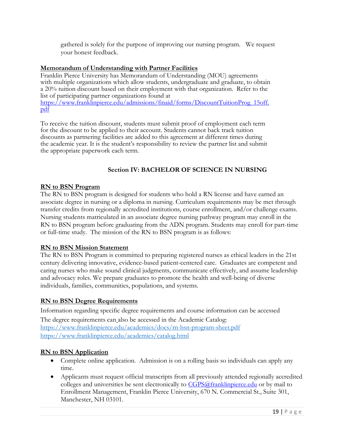gathered is solely for the purpose of improving our nursing program. We request your honest feedback.

#### **Memorandum of Understanding with Partner Facilities**

Franklin Pierce University has Memorandum of Understanding (MOU) agreements with multiple organizations which allow students, undergraduate and graduate, to obtain a 20% tuition discount based on their employment with that organization. Refer to the list of participating partner organizations found at [https://www.franklinpierce.edu/admissions/finaid/forms/DiscountTuitionProg\\_15off.](https://www.franklinpierce.edu/admissions/finaid/forms/DiscountTuitionProg_15off.pdf) [pdf](https://www.franklinpierce.edu/admissions/finaid/forms/DiscountTuitionProg_15off.pdf)

To receive the tuition discount, students must submit proof of employment each term for the discount to be applied to their account. Students cannot back track tuition discounts as partnering facilities are added to this agreement at different times during the academic year. It is the student's responsibility to review the partner list and submit the appropriate paperwork each term.

# **Section IV: BACHELOR OF SCIENCE IN NURSING**

#### **RN to BSN Program**

The RN to BSN program is designed for students who hold a RN license and have earned an associate degree in nursing or a diploma in nursing. Curriculum requirements may be met through transfer credits from regionally accredited institutions, course enrollment, and/or challenge exams. Nursing students matriculated in an associate degree nursing pathway program may enroll in the RN to BSN program before graduating from the ADN program. Students may enroll for part-time or full-time study. The mission of the RN to BSN program is as follows:

# **RN to BSN Mission Statement**

The RN to BSN Program is committed to preparing registered nurses as ethical leaders in the 21st century delivering innovative, evidence-based patient-centered care. Graduates are competent and caring nurses who make sound clinical judgments, communicate effectively, and assume leadership and advocacy roles. We prepare graduates to promote the health and well-being of diverse individuals, families, communities, populations, and systems.

# **RN to BSN Degree Requirements**

Information regarding specific degree requirements and course information can be accessed The degree requirements can also be accessed in the Academic Catalog: <https://www.franklinpierce.edu/academics/docs/rn-bsn-program-sheet.pdf> <https://www.franklinpierce.edu/academics/catalog.html>

# **RN to BSN Application**

- Complete online application. Admission is on a rolling basis so individuals can apply any time.
- Applicants must request official transcripts from all previously attended regionally accredited colleges and universities be sent electronically to [CGPS@franklinpierce.edu](mailto:CGPS@franklinpierce.edu) or by mail to Enrollment Management, Franklin Pierce University, 670 N. Commercial St., Suite 301, Manchester, NH 03101.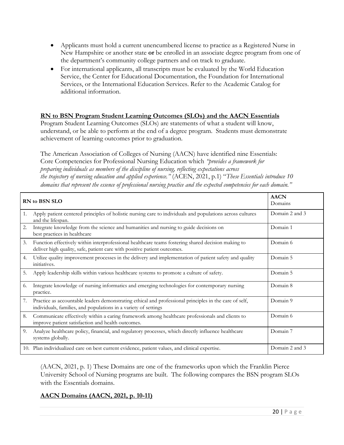- Applicants must hold a current unencumbered license to practice as a Registered Nurse in New Hampshire or another state **or** be enrolled in an associate degree program from one of the department's community college partners and on track to graduate.
- For international applicants, all transcripts must be evaluated by the World Education Service, the Center for Educational Documentation, the Foundation for International Services, or the International Education Services. Refer to the Academic Catalog for additional information.

#### **RN to BSN Program Student Learning Outcomes (SLOs) and the AACN Essentials**

Program Student Learning Outcomes (SLOs) are statements of what a student will know, understand, or be able to perform at the end of a degree program. Students must demonstrate achievement of learning outcomes prior to graduation.

The American Association of Colleges of Nursing (AACN) have identified nine Essentials: Core Competencies for Professional Nursing Education which *"provides a framework for preparing individuals as members of the discipline of nursing, reflecting expectations across the trajectory of nursing education and applied experience."* (ACEN, 2021, p.1) "*These Essentials introduce 10 domains that represent the essence of professional nursing practice and the expected competencies for each domain."* 

|    | RN to BSN SLO                                                                                                                                                                  | <b>AACN</b><br>Domains |
|----|--------------------------------------------------------------------------------------------------------------------------------------------------------------------------------|------------------------|
| 1. | Apply patient centered principles of holistic nursing care to individuals and populations across cultures<br>and the lifespan.                                                 | Domain 2 and 3         |
| 2. | Integrate knowledge from the science and humanities and nursing to guide decisions on<br>best practices in healthcare                                                          | Domain 1               |
| 3. | Function effectively within interprofessional healthcare teams fostering shared decision making to<br>deliver high quality, safe, patient care with positive patient outcomes. | Domain 6               |
| 4. | Utilize quality improvement processes in the delivery and implementation of patient safety and quality<br>initiatives.                                                         | Domain 5               |
| 5. | Apply leadership skills within various healthcare systems to promote a culture of safety.                                                                                      | Domain 5               |
| 6. | Integrate knowledge of nursing informatics and emerging technologies for contemporary nursing<br>practice.                                                                     | Domain 8               |
| 7. | Practice as accountable leaders demonstrating ethical and professional principles in the care of self,<br>individuals, families, and populations in a variety of settings      | Domain 9               |
| 8. | Communicate effectively within a caring framework among healthcare professionals and clients to<br>improve patient satisfaction and health outcomes.                           | Domain 6               |
| 9. | Analyze healthcare policy, financial, and regulatory processes, which directly influence healthcare<br>systems globally.                                                       | Domain 7               |
|    | 10. Plan individualized care on best current evidence, patient values, and clinical expertise.                                                                                 | Domain 2 and 3         |

(AACN, 2021, p. 1) These Domains are one of the frameworks upon which the Franklin Pierce University School of Nursing programs are built. The following compares the BSN program SLOs with the Essentials domains.

# **AACN Domains (AACN, 2021, p. 10-11)**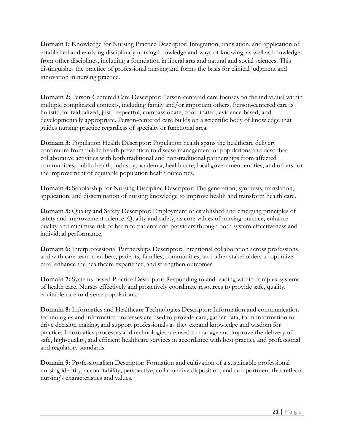**Domain 1:** Knowledge for Nursing Practice Descriptor: Integration, translation, and application of established and evolving disciplinary nursing knowledge and ways of knowing, as well as knowledge from other disciplines, including a foundation in liberal arts and natural and social sciences. This distinguishes the practice of professional nursing and forms the basis for clinical judgment and innovation in nursing practice.

**Domain 2:** Person-Centered Care Descriptor: Person-centered care focuses on the individual within multiple complicated contexts, including family and/or important others. Person-centered care is holistic, individualized, just, respectful, compassionate, coordinated, evidence-based, and developmentally appropriate. Person-centered care builds on a scientific body of knowledge that guides nursing practice regardless of specialty or functional area.

**Domain 3:** Population Health Descriptor: Population health spans the healthcare delivery continuum from public health prevention to disease management of populations and describes collaborative activities with both traditional and non-traditional partnerships from affected communities, public health, industry, academia, health care, local government entities, and others for the improvement of equitable population health outcomes.

**Domain 4:** Scholarship for Nursing Discipline Descriptor: The generation, synthesis, translation, application, and dissemination of nursing knowledge to improve health and transform health care.

**Domain 5:** Quality and Safety Descriptor: Employment of established and emerging principles of safety and improvement science. Quality and safety, as core values of nursing practice, enhance quality and minimize risk of harm to patients and providers through both system effectiveness and individual performance.

**Domain 6:** Interprofessional Partnerships Descriptor: Intentional collaboration across professions and with care team members, patients, families, communities, and other stakeholders to optimize care, enhance the healthcare experience, and strengthen outcomes.

**Domain 7:** Systems-Based Practice Descriptor: Responding to and leading within complex systems of health care. Nurses effectively and proactively coordinate resources to provide safe, quality, equitable care to diverse populations.

**Domain 8:** Informatics and Healthcare Technologies Descriptor: Information and communication technologies and informatics processes are used to provide care, gather data, form information to drive decision making, and support professionals as they expand knowledge and wisdom for practice. Informatics processes and technologies are used to manage and improve the delivery of safe, high-quality, and efficient healthcare services in accordance with best practice and professional and regulatory standards.

**Domain 9:** Professionalism Descriptor: Formation and cultivation of a sustainable professional nursing identity, accountability, perspective, collaborative disposition, and comportment that reflects nursing's characteristics and values.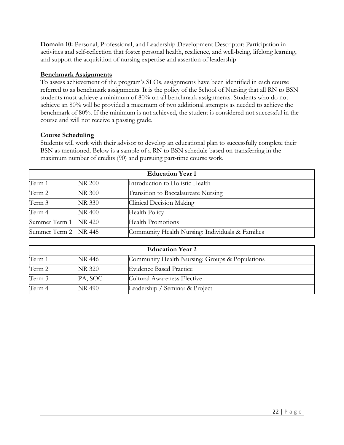**Domain 10:** Personal, Professional, and Leadership Development Descriptor: Participation in activities and self-reflection that foster personal health, resilience, and well-being, lifelong learning, and support the acquisition of nursing expertise and assertion of leadership

#### **Benchmark Assignments**

To assess achievement of the program's SLOs, assignments have been identified in each course referred to as benchmark assignments. It is the policy of the School of Nursing that all RN to BSN students must achieve a minimum of 80% on all benchmark assignments. Students who do not achieve an 80% will be provided a maximum of two additional attempts as needed to achieve the benchmark of 80%. If the minimum is not achieved, the student is considered not successful in the course and will not receive a passing grade.

#### **Course Scheduling**

Students will work with their advisor to develop an educational plan to successfully complete their BSN as mentioned. Below is a sample of a RN to BSN schedule based on transferring in the maximum number of credits (90) and pursuing part-time course work.

| <b>Education Year 1</b> |               |                                                  |  |
|-------------------------|---------------|--------------------------------------------------|--|
| Term 1                  | <b>NR 200</b> | Introduction to Holistic Health                  |  |
| Term 2                  | <b>NR 300</b> | Transition to Baccalaureate Nursing              |  |
| Term 3                  | <b>NR 330</b> | Clinical Decision Making                         |  |
| Term 4                  | <b>NR 400</b> | Health Policy                                    |  |
| Summer Term 1 NR 420    |               | <b>Health Promotions</b>                         |  |
| Summer Term 2 NR 445    |               | Community Health Nursing: Individuals & Families |  |

| <b>Education Year 2</b> |               |                                                |  |
|-------------------------|---------------|------------------------------------------------|--|
| Term 1                  | NR 446        | Community Health Nursing: Groups & Populations |  |
| Term 2                  | <b>NR 320</b> | <b>Evidence Based Practice</b>                 |  |
| Term 3                  | PA, SOC       | Cultural Awareness Elective                    |  |
| Term 4                  | <b>NR 490</b> | Leadership / Seminar & Project                 |  |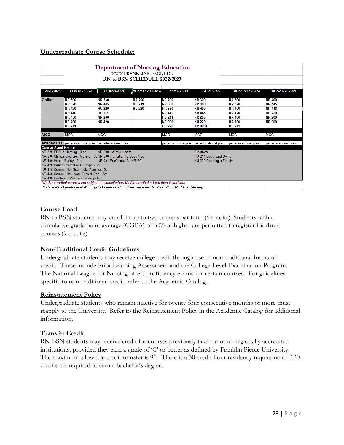#### **Undergraduate Course Schedule:**

|                                                                                                                                                                                                                                                                                                                                                                                                                                                                                                                                                  |                                                                                                                     | <b>Department of Nursing Education</b><br>RN to BSN SCHEDULE 2022-2023                             | WWW.FRANKLINPIERCE.EDU                          |                                                                                                                      |                                                                                                                      |                                                                                                                     |                                                                                                     |
|--------------------------------------------------------------------------------------------------------------------------------------------------------------------------------------------------------------------------------------------------------------------------------------------------------------------------------------------------------------------------------------------------------------------------------------------------------------------------------------------------------------------------------------------------|---------------------------------------------------------------------------------------------------------------------|----------------------------------------------------------------------------------------------------|-------------------------------------------------|----------------------------------------------------------------------------------------------------------------------|----------------------------------------------------------------------------------------------------------------------|---------------------------------------------------------------------------------------------------------------------|-----------------------------------------------------------------------------------------------------|
| 2020-2021                                                                                                                                                                                                                                                                                                                                                                                                                                                                                                                                        | T1 8/30 - 10/22                                                                                                     | T2 10/24-12/17                                                                                     | <b>Winter 12/19-1/14</b>                        | T3 1/16 - 3-11                                                                                                       | T4 3/13-5/6                                                                                                          | UGS1 5/15 - 6/24                                                                                                    | <b>UGS2 6/26 - 8/5</b>                                                                              |
| <b>Online</b>                                                                                                                                                                                                                                                                                                                                                                                                                                                                                                                                    | <b>NR 300</b><br><b>NR 320</b><br><b>NR 420</b><br><b>NR 446</b><br><b>NR 490</b><br><b>NR 200</b><br><b>HU 211</b> | <b>NR 330</b><br><b>NR 445</b><br><b>HU 220</b><br><b>HU 211</b><br><b>NR 200</b><br><b>NR 420</b> | <b>NR 200</b><br><b>HU 211</b><br><b>HU 220</b> | <b>NR 200</b><br><b>NR 300</b><br><b>NR 330</b><br><b>NR 446</b><br><b>HU 211</b><br><b>NR 0001</b><br><b>HU 220</b> | <b>NR 300</b><br><b>NR 400</b><br><b>NR 490</b><br><b>NR 445</b><br><b>NR 200</b><br><b>HU 220</b><br><b>NR 0001</b> | <b>NR 300</b><br><b>NR 320</b><br><b>NR 400</b><br><b>NR 420</b><br><b>NR 490</b><br><b>NR 200</b><br><b>HU 211</b> | <b>NR 400</b><br><b>NR 445</b><br><b>NR 446</b><br><b>HU 220</b><br><b>NR 200</b><br><b>NR 0001</b> |
| <b>MCC</b>                                                                                                                                                                                                                                                                                                                                                                                                                                                                                                                                       | MCC                                                                                                                 | <b>MCC</b>                                                                                         |                                                 | MCC                                                                                                                  | <b>MCC</b>                                                                                                           | <b>MCC</b>                                                                                                          | <b>MCC</b>                                                                                          |
| <b>Course # and Names</b>                                                                                                                                                                                                                                                                                                                                                                                                                                                                                                                        | Arizona CEP per educational plan per educational plan                                                               |                                                                                                    |                                                 |                                                                                                                      | per educational plan per educational plan                                                                            | per educational plan                                                                                                | per educational plan                                                                                |
| NR 320 EBP in Nursing - 3 cr<br>NR 200 Holistic Health<br><b>Electives</b><br>NR 330 Clinical Decision-Making - 3c NR 300 Transition to Bacc Nsg<br>HU 211 Death and Dying<br>NR 400 Health Policy - 3 cr<br>NR 001 PreCourse for NR490<br>HU 220 Creating a Family<br>NR 420 Health Promotions / Lfspn.- 3cr<br>NR 445 Comm. Hith Nsg: Indiv. Families- 3cr<br>NR 446 Comm. Hlth. Nsg: Grps & Pop.- 3cr<br>NR 490 Leadership/Seminar & Proj.- 6cr<br>*Under enrolled courses are subject to cancellation. Under enrolled = Less than 8 students |                                                                                                                     |                                                                                                    |                                                 |                                                                                                                      |                                                                                                                      |                                                                                                                     |                                                                                                     |

\*Follow the Department of Nursing Education on Facebook, www.facebook.com/FranklinPierceNursing

#### **Course Load**

RN to BSN students may enroll in up to two courses per term (6 credits). Students with a cumulative grade point average (CGPA) of 3.25 or higher are permitted to register for three courses (9 credits)

#### **Non-Traditional Credit Guidelines**

Undergraduate students may receive college credit through use of non-traditional forms of credit. These include Prior Learning Assessment and the College Level Examination Program. The National League for Nursing offers proficiency exams for certain courses. For guidelines specific to non-traditional credit, refer to the Academic Catalog.

#### **Reinstatement Policy**

Undergraduate students who remain inactive for twenty-four consecutive months or more must reapply to the University. Refer to the Reinstatement Policy in the Academic Catalog for additional information.

#### **Transfer Credit**

RN-BSN students may receive credit for courses previously taken at other regionally accredited institutions, provided they earn a grade of 'C' or better as defined by Franklin Pierce University. The maximum allowable credit transfer is 90. There is a 30-credit hour residency requirement. 120 credits are required to earn a bachelor's degree.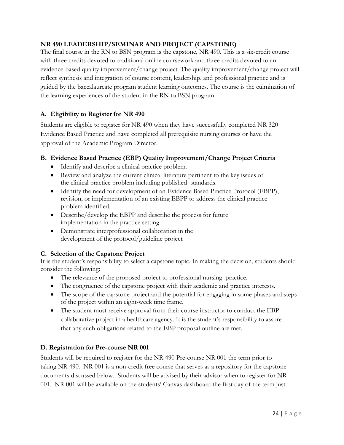# **NR 490 LEADERSHIP/SEMINAR AND PROJECT (CAPSTONE)**

The final course in the RN to BSN program is the capstone, NR 490. This is a six-credit course with three credits devoted to traditional online coursework and three credits devoted to an evidence-based quality improvement/change project. The quality improvement/change project will reflect synthesis and integration of course content, leadership, and professional practice and is guided by the baccalaureate program student learning outcomes. The course is the culmination of the learning experiences of the student in the RN to BSN program.

# **A. Eligibility to Register for NR 490**

Students are eligible to register for NR 490 when they have successfully completed NR 320 Evidence Based Practice and have completed all prerequisite nursing courses or have the approval of the Academic Program Director.

# **B. Evidence Based Practice (EBP) Quality Improvement/Change Project Criteria**

- Identify and describe a clinical practice problem.
- Review and analyze the current clinical literature pertinent to the key issues of the clinical practice problem including published standards.
- Identify the need for development of an Evidence Based Practice Protocol (EBPP), revision, or implementation of an existing EBPP to address the clinical practice problem identified.
- Describe/develop the EBPP and describe the process for future implementation in the practice setting.
- Demonstrate interprofessional collaboration in the development of the protocol/guideline project

# **C. Selection of the Capstone Project**

It is the student's responsibility to select a capstone topic. In making the decision, students should consider the following:

- The relevance of the proposed project to professional nursing practice.
- The congruence of the capstone project with their academic and practice interests.
- The scope of the capstone project and the potential for engaging in some phases and steps of the project within an eight-week time frame.
- The student must receive approval from their course instructor to conduct the EBP collaborative project in a healthcare agency. It is the student's responsibility to assure that any such obligations related to the EBP proposal outline are met.

# **D. Registration for Pre-course NR 001**

Students will be required to register for the NR 490 Pre-course NR 001 the term prior to taking NR 490. NR 001 is a non-credit free course that serves as a repository for the capstone documents discussed below. Students will be advised by their advisor when to register for NR 001. NR 001 will be available on the students' Canvas dashboard the first day of the term just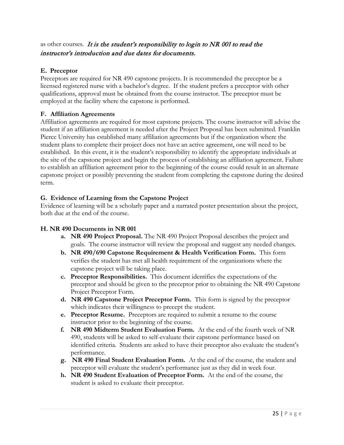# as other courses. It is the student's responsibility to login to NR 001 to read the instructor's introduction and due dates for documents.

# **E. Preceptor**

Preceptors are required for NR 490 capstone projects. It is recommended the preceptor be a licensed registered nurse with a bachelor's degree. If the student prefers a preceptor with other qualifications, approval must be obtained from the course instructor. The preceptor must be employed at the facility where the capstone is performed.

# **F. Affiliation Agreements**

Affiliation agreements are required for most capstone projects. The course instructor will advise the student if an affiliation agreement is needed after the Project Proposal has been submitted. Franklin Pierce University has established many affiliation agreements but if the organization where the student plans to complete their project does not have an active agreement, one will need to be established. In this event, it is the student's responsibility to identify the appropriate individuals at the site of the capstone project and begin the process of establishing an affiliation agreement. Failure to establish an affiliation agreement prior to the beginning of the course could result in an alternate capstone project or possibly preventing the student from completing the capstone during the desired term.

# **G. Evidence of Learning from the Capstone Project**

Evidence of learning will be a scholarly paper and a narrated poster presentation about the project, both due at the end of the course.

# **H. NR 490 Documents in NR 001**

- **a. NR 490 Project Proposal.** The NR 490 Project Proposal describes the project and goals. The course instructor will review the proposal and suggest any needed changes.
- **b. NR 490/690 Capstone Requirement & Health Verification Form.** This form verifies the student has met all health requirement of the organizations where the capstone project will be taking place.
- **c. Preceptor Responsibilities.** This document identifies the expectations of the preceptor and should be given to the preceptor prior to obtaining the NR 490 Capstone Project Preceptor Form.
- **d. NR 490 Capstone Project Preceptor Form.** This form is signed by the preceptor which indicates their willingness to precept the student.
- **e. Preceptor Resume.** Preceptors are required to submit a resume to the course instructor prior to the beginning of the course.
- **f. NR 490 Midterm Student Evaluation Form.** At the end of the fourth week of NR 490, students will be asked to self-evaluate their capstone performance based on identified criteria. Students are asked to have their preceptor also evaluate the student's performance.
- **g. NR 490 Final Student Evaluation Form.** At the end of the course, the student and preceptor will evaluate the student's performance just as they did in week four.
- **h. NR 490 Student Evaluation of Preceptor Form.** At the end of the course, the student is asked to evaluate their preceptor.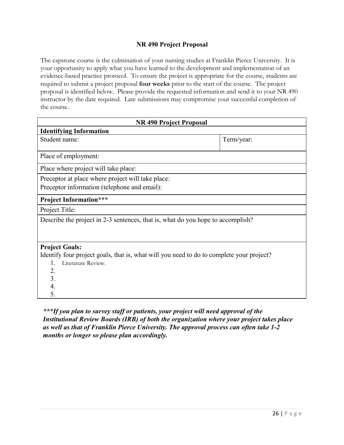# **NR 490 Project Proposal**

The capstone course is the culmination of your nursing studies at Franklin Pierce University. It is your opportunity to apply what you have learned to the development and implementation of an evidence-based practice protocol. To ensure the project is appropriate for the course, students are required to submit a project proposal **four weeks** prior to the start of the course. The project proposal is identified below. Please provide the requested information and send it to your NR 490 instructor by the date required. Late submissions may compromise your successful completion of the course.

| NR 490 Project Proposal                                                                  |            |
|------------------------------------------------------------------------------------------|------------|
| <b>Identifying Information</b>                                                           |            |
| Student name:                                                                            | Term/year: |
| Place of employment:                                                                     |            |
| Place where project will take place:                                                     |            |
| Preceptor at place where project will take place:                                        |            |
| Preceptor information (telephone and email):                                             |            |
| <b>Project Information***</b>                                                            |            |
| Project Title:                                                                           |            |
| Describe the project in 2-3 sentences, that is, what do you hope to accomplish?          |            |
| <b>Project Goals:</b>                                                                    |            |
| Identify four project goals, that is, what will you need to do to complete your project? |            |
| Literature Review.<br>1.                                                                 |            |
| 2.                                                                                       |            |
| 3.                                                                                       |            |
| 4.                                                                                       |            |
| 5.                                                                                       |            |

*\*\*\*If you plan to survey staff or patients, your project will need approval of the Institutional Review Boards (IRB) of both the organization where your project takes place as well as that of Franklin Pierce University. The approval process can often take 1-2 months or longer so please plan accordingly.*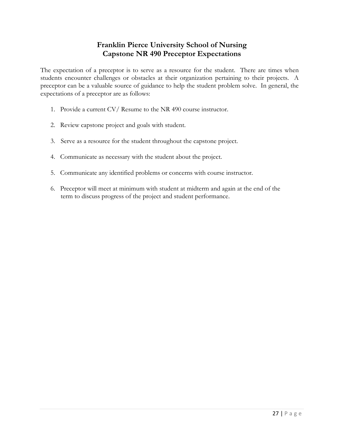# **Franklin Pierce University School of Nursing Capstone NR 490 Preceptor Expectations**

The expectation of a preceptor is to serve as a resource for the student. There are times when students encounter challenges or obstacles at their organization pertaining to their projects. A preceptor can be a valuable source of guidance to help the student problem solve. In general, the expectations of a preceptor are as follows:

- 1. Provide a current CV/ Resume to the NR 490 course instructor.
- 2. Review capstone project and goals with student.
- 3. Serve as a resource for the student throughout the capstone project.
- 4. Communicate as necessary with the student about the project.
- 5. Communicate any identified problems or concerns with course instructor.
- 6. Preceptor will meet at minimum with student at midterm and again at the end of the term to discuss progress of the project and student performance.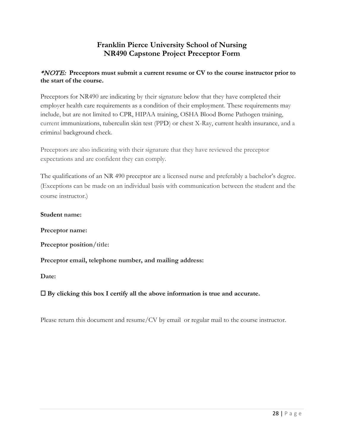# **Franklin Pierce University School of Nursing NR490 Capstone Project Preceptor Form**

# \*NOTE: **Preceptors must submit a current resume or CV to the course instructor prior to the start of the course.**

Preceptors for NR490 are indicating by their signature below that they have completed their employer health care requirements as a condition of their employment. These requirements may include, but are not limited to CPR, HIPAA training, OSHA Blood Borne Pathogen training, current immunizations, tuberculin skin test (PPD) or chest X-Ray, current health insurance, and a criminal background check.

Preceptors are also indicating with their signature that they have reviewed the preceptor expectations and are confident they can comply.

The qualifications of an NR 490 preceptor are a licensed nurse and preferably a bachelor's degree. (Exceptions can be made on an individual basis with communication between the student and the course instructor.)

#### **Student name:**

**Preceptor name:**

**Preceptor position/title:**

**Preceptor email, telephone number, and mailing address:**

**Date:**

# ☐ **By clicking this box I certify all the above information is true and accurate.**

Please return this document and resume/CV by email or regular mail to the course instructor.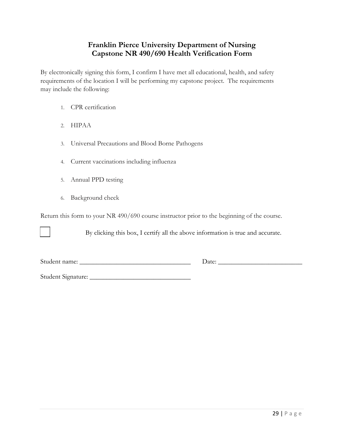# **Franklin Pierce University Department of Nursing Capstone NR 490/690 Health Verification Form**

By electronically signing this form, I confirm I have met all educational, health, and safety requirements of the location I will be performing my capstone project. The requirements may include the following:

- 1. CPR certification
- 2. HIPAA
- 3. Universal Precautions and Blood Borne Pathogens
- 4. Current vaccinations including influenza
- 5. Annual PPD testing
- 6. Background check

Return this form to your NR 490/690 course instructor prior to the beginning of the course.

By clicking this box, I certify all the above information is true and accurate.

Student name: \_\_\_\_\_\_\_\_\_\_\_\_\_\_\_\_\_\_\_\_\_\_\_\_\_\_\_\_\_\_\_\_\_ Date: \_\_\_\_\_\_\_\_\_\_\_\_\_\_\_\_\_\_\_\_\_\_\_\_\_

Student Signature: \_\_\_\_\_\_\_\_\_\_\_\_\_\_\_\_\_\_\_\_\_\_\_\_\_\_\_\_\_\_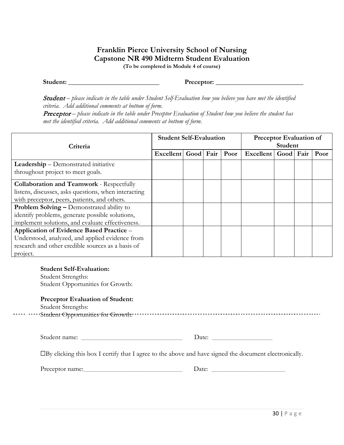# **Franklin Pierce University School of Nursing Capstone NR 490 Midterm Student Evaluation**

**(To be completed in Module 4 of course)**

**Student:** \_\_\_\_\_\_\_\_\_\_\_\_\_\_\_\_\_\_\_\_\_\_\_\_\_\_\_ **Preceptor:** \_\_\_\_\_\_\_\_\_\_\_\_\_\_\_\_\_\_\_\_\_\_\_\_\_\_

Student - please indicate in the table under Student Self-Evaluation how you believe you have met the identified *criteria. Add additional comments at bottom of form.*

**Preceptor** – please indicate in the table under Preceptor Evaluation of Student how you believe the student has *met the identified criteria. Add additional comments at bottom of form.*

| Criteria                                                                                                                                                           | <b>Student Self-Evaluation</b> |  |  | Preceptor Evaluation of<br><b>Student</b> |                     |  |  |      |
|--------------------------------------------------------------------------------------------------------------------------------------------------------------------|--------------------------------|--|--|-------------------------------------------|---------------------|--|--|------|
|                                                                                                                                                                    | Excellent Good Fair            |  |  | Poor                                      | Excellent Good Fair |  |  | Poor |
| Leadership - Demonstrated initiative<br>throughout project to meet goals.                                                                                          |                                |  |  |                                           |                     |  |  |      |
| <b>Collaboration and Teamwork - Respectfully</b><br>listens, discusses, asks questions, when interacting<br>with preceptor, peers, patients, and others.           |                                |  |  |                                           |                     |  |  |      |
| Problem Solving - Demonstrated ability to<br>identify problems, generate possible solutions,<br>implement solutions, and evaluate effectiveness.                   |                                |  |  |                                           |                     |  |  |      |
| Application of Evidence Based Practice -<br>Understood, analyzed, and applied evidence from<br>research and other credible sources as a basis of<br>project.       |                                |  |  |                                           |                     |  |  |      |
| <b>Student Self-Evaluation:</b><br><b>Student Strengths:</b><br>Student Opportunities for Growth:<br><b>Preceptor Evaluation of Student:</b><br>Student Strengths: |                                |  |  |                                           |                     |  |  |      |
| Student name:                                                                                                                                                      |                                |  |  |                                           | Date:               |  |  |      |
| □By clicking this box I certify that I agree to the above and have signed the document electronically.                                                             |                                |  |  |                                           |                     |  |  |      |
|                                                                                                                                                                    |                                |  |  |                                           | Date: Date:         |  |  |      |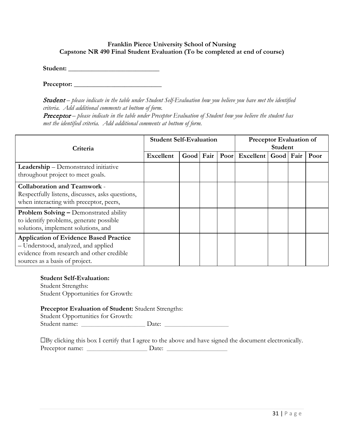#### **Franklin Pierce University School of Nursing Capstone NR 490 Final Student Evaluation (To be completed at end of course)**

Student:

**Preceptor:** \_\_\_\_\_\_\_\_\_\_\_\_\_\_\_\_\_\_\_\_\_\_\_\_\_\_

**Student** – please indicate in the table under Student Self-Evaluation how you believe you have met the identified *criteria. Add additional comments at bottom of form.*

**Preceptor** – please indicate in the table under Preceptor Evaluation of Student how you believe the student has *met the identified criteria. Add additional comments at bottom of form.*

| Criteria                                                                                                                                                            | <b>Student Self-Evaluation</b> |      |      |      | <b>Preceptor Evaluation of</b><br>Student |  |  |      |
|---------------------------------------------------------------------------------------------------------------------------------------------------------------------|--------------------------------|------|------|------|-------------------------------------------|--|--|------|
|                                                                                                                                                                     | <b>Excellent</b>               | Good | Fair | Poor | Excellent   Good   Fair                   |  |  | Poor |
| <b>Leadership</b> – Demonstrated initiative<br>throughout project to meet goals.                                                                                    |                                |      |      |      |                                           |  |  |      |
| <b>Collaboration and Teamwork -</b><br>Respectfully listens, discusses, asks questions,<br>when interacting with preceptor, peers,                                  |                                |      |      |      |                                           |  |  |      |
| <b>Problem Solving – Demonstrated ability</b><br>to identify problems, generate possible<br>solutions, implement solutions, and                                     |                                |      |      |      |                                           |  |  |      |
| <b>Application of Evidence Based Practice</b><br>- Understood, analyzed, and applied<br>evidence from research and other credible<br>sources as a basis of project. |                                |      |      |      |                                           |  |  |      |

#### **Student Self-Evaluation:**

Student Strengths: Student Opportunities for Growth:

#### **Preceptor Evaluation of Student:** Student Strengths:

Student Opportunities for Growth: Student name: \_\_\_\_\_\_\_\_\_\_\_\_\_\_\_\_\_\_\_ Date: \_\_\_\_\_\_\_\_\_\_\_\_\_\_\_\_\_\_\_

☐By clicking this box I certify that I agree to the above and have signed the document electronically. Preceptor name: \_\_\_\_\_\_\_\_\_\_\_\_\_\_\_\_\_\_ Date: \_\_\_\_\_\_\_\_\_\_\_\_\_\_\_\_\_\_

31 | Page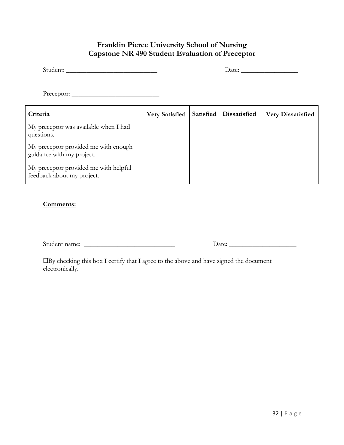# **Franklin Pierce University School of Nursing Capstone NR 490 Student Evaluation of Preceptor**

| Student: |  |
|----------|--|
|          |  |

Student: \_\_\_\_\_\_\_\_\_\_\_\_\_\_\_\_\_\_\_\_\_\_\_\_\_\_\_ Date: \_\_\_\_\_\_\_\_\_\_\_\_\_\_\_\_\_

Preceptor: \_\_\_\_\_\_\_\_\_\_\_\_\_\_\_\_\_\_\_\_\_\_\_\_\_\_

| Criteria                                                            | <b>Very Satisfied</b> | Satisfied   Dissatisfied | <b>Very Dissatisfied</b> |
|---------------------------------------------------------------------|-----------------------|--------------------------|--------------------------|
| My preceptor was available when I had<br>questions.                 |                       |                          |                          |
| My preceptor provided me with enough<br>guidance with my project.   |                       |                          |                          |
| My preceptor provided me with helpful<br>feedback about my project. |                       |                          |                          |

#### **Comments:**

Student name: \_\_\_\_\_\_\_\_\_\_\_\_\_\_\_\_\_\_\_\_\_\_\_\_\_\_\_ Date: \_\_\_\_\_\_\_\_\_\_\_\_\_\_\_\_\_\_\_\_

☐By checking this box I certify that I agree to the above and have signed the document electronically.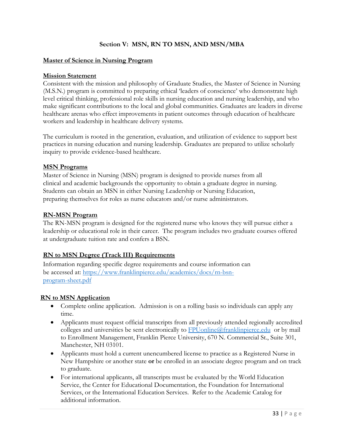## **Section V: MSN, RN TO MSN, AND MSN/MBA**

#### **Master of Science in Nursing Program**

#### **Mission Statement**

Consistent with the mission and philosophy of Graduate Studies, the Master of Science in Nursing (M.S.N.) program is committed to preparing ethical 'leaders of conscience' who demonstrate high level critical thinking, professional role skills in nursing education and nursing leadership, and who make significant contributions to the local and global communities. Graduates are leaders in diverse healthcare arenas who effect improvements in patient outcomes through education of healthcare workers and leadership in healthcare delivery systems.

The curriculum is rooted in the generation, evaluation, and utilization of evidence to support best practices in nursing education and nursing leadership. Graduates are prepared to utilize scholarly inquiry to provide evidence-based healthcare.

#### **MSN Programs**

Master of Science in Nursing (MSN) program is designed to provide nurses from all clinical and academic backgrounds the opportunity to obtain a graduate degree in nursing. Students can obtain an MSN in either Nursing Leadership or Nursing Education, preparing themselves for roles as nurse educators and/or nurse administrators.

#### **RN-MSN Program**

The RN-MSN program is designed for the registered nurse who knows they will pursue either a leadership or educational role in their career. The program includes two graduate courses offered at undergraduate tuition rate and confers a BSN.

#### **RN to MSN Degree (Track III) Requirements**

Information regarding specific degree requirements and course information can be accessed at: [https://www.franklinpierce.edu/academics/docs/rn-bsn](https://www.franklinpierce.edu/academics/docs/rn-bsn-program-sheet.pdf)[program-sheet.pdf](https://www.franklinpierce.edu/academics/docs/rn-bsn-program-sheet.pdf)

#### **RN to MSN Application**

- Complete online application. Admission is on a rolling basis so individuals can apply any time.
- Applicants must request official transcripts from all previously attended regionally accredited c[o](mailto:CGPS@franklinpierce.edu)lleges and universities be sent electronically to  $FP$ Uonline $@$ franklinpierce.edu or by mail to Enrollment Management, Franklin Pierce University, 670 N. Commercial St., Suite 301, Manchester, NH 03101.
- Applicants must hold a current unencumbered license to practice as a Registered Nurse in New Hampshire or another state **or** be enrolled in an associate degree program and on track to graduate.
- For international applicants, all transcripts must be evaluated by the World Education Service, the Center for Educational Documentation, the Foundation for International Services, or the International Education Services. Refer to the Academic Catalog for additional information.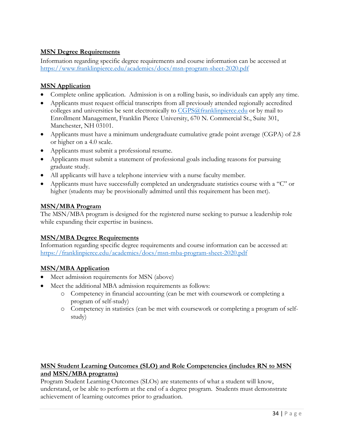# **MSN Degree Requirements**

Information regarding specific degree requirements and course information can be accessed at <https://www.franklinpierce.edu/academics/docs/msn-program-sheet-2020.pdf>

## **MSN Application**

- Complete online application. Admission is on a rolling basis, so individuals can apply any time.
- Applicants must request official transcripts from all previously attended regionally accredited colleges and universities be sent electronically to [CGPS@franklinpierce.edu](mailto:CGPS@franklinpierce.edu) or by mail to Enrollment Management, Franklin Pierce University, 670 N. Commercial St., Suite 301, Manchester, NH 03101.
- Applicants must have a minimum undergraduate cumulative grade point average (CGPA) of 2.8 or higher on a 4.0 scale.
- Applicants must submit a professional resume.
- Applicants must submit a statement of professional goals including reasons for pursuing graduate study.
- All applicants will have a telephone interview with a nurse faculty member.
- Applicants must have successfully completed an undergraduate statistics course with a "C" or higher (students may be provisionally admitted until this requirement has been met).

#### **MSN/MBA Program**

The MSN/MBA program is designed for the registered nurse seeking to pursue a leadership role while expanding their expertise in business.

# **MSN/MBA Degree Requirements**

Information regarding specific degree requirements and course information can be accessed at: <https://franklinpierce.edu/academics/docs/msn-mba-program-sheet-2020.pdf>

# **MSN/MBA Application**

- Meet admission requirements for MSN (above)
- Meet the additional MBA admission requirements as follows:
	- o Competency in financial accounting (can be met with coursework or completing a program of self-study)
	- o Competency in statistics (can be met with coursework or completing a program of selfstudy)

# **MSN Student Learning Outcomes (SLO) and Role Competencies (includes RN to MSN and MSN/MBA programs)**

Program Student Learning Outcomes (SLOs) are statements of what a student will know, understand, or be able to perform at the end of a degree program. Students must demonstrate achievement of learning outcomes prior to graduation.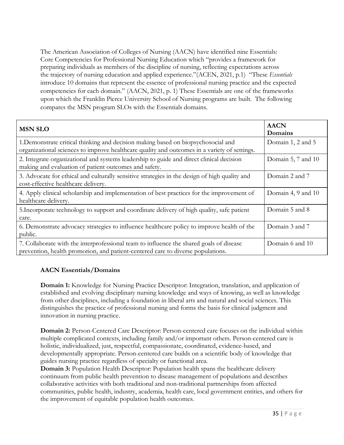The American Association of Colleges of Nursing (AACN) have identified nine Essentials: Core Competencies for Professional Nursing Education which "provides a framework for preparing individuals as members of the discipline of nursing, reflecting expectations across the trajectory of nursing education and applied experience."(ACEN, 2021, p.1) "These *Essentials*  introduce 10 domains that represent the essence of professional nursing practice and the expected competencies for each domain." (AACN, 2021, p. 1) These Essentials are one of the frameworks upon which the Franklin Pierce University School of Nursing programs are built. The following compares the MSN program SLOs with the Essentials domains.

| <b>MSN SLO</b>                                                                                                                                                                    | <b>AACN</b><br>Domains |
|-----------------------------------------------------------------------------------------------------------------------------------------------------------------------------------|------------------------|
| 1. Demonstrate critical thinking and decision making based on biopsychosocial and<br>organizational sciences to improve healthcare quality and outcomes in a variety of settings. | Domain 1, 2 and 5      |
| 2. Integrate organizational and systems leadership to guide and direct clinical decision<br>making and evaluation of patient outcomes and safety.                                 | Domain 5, 7 and 10     |
| 3. Advocate for ethical and culturally sensitive strategies in the design of high quality and<br>cost-effective healthcare delivery.                                              | Domain 2 and 7         |
| 4. Apply clinical scholarship and implementation of best practices for the improvement of<br>healthcare delivery.                                                                 | Domain 4, 9 and 10     |
| 5. Incorporate technology to support and coordinate delivery of high quality, safe patient<br>care.                                                                               | Domain 5 and 8         |
| 6. Demonstrate advocacy strategies to influence healthcare policy to improve health of the<br>public.                                                                             | Domain 3 and 7         |
| 7. Collaborate with the interprofessional team to influence the shared goals of disease<br>prevention, health promotion, and patient-centered care to diverse populations.        | Domain 6 and 10        |

# **AACN Essentials/Domains**

**Domain 1:** Knowledge for Nursing Practice Descriptor: Integration, translation, and application of established and evolving disciplinary nursing knowledge and ways of knowing, as well as knowledge from other disciplines, including a foundation in liberal arts and natural and social sciences. This distinguishes the practice of professional nursing and forms the basis for clinical judgment and innovation in nursing practice.

**Domain 2:** Person-Centered Care Descriptor: Person-centered care focuses on the individual within multiple complicated contexts, including family and/or important others. Person-centered care is holistic, individualized, just, respectful, compassionate, coordinated, evidence-based, and developmentally appropriate. Person-centered care builds on a scientific body of knowledge that guides nursing practice regardless of specialty or functional area.

**Domain 3:** Population Health Descriptor: Population health spans the healthcare delivery continuum from public health prevention to disease management of populations and describes collaborative activities with both traditional and non-traditional partnerships from affected communities, public health, industry, academia, health care, local government entities, and others for the improvement of equitable population health outcomes.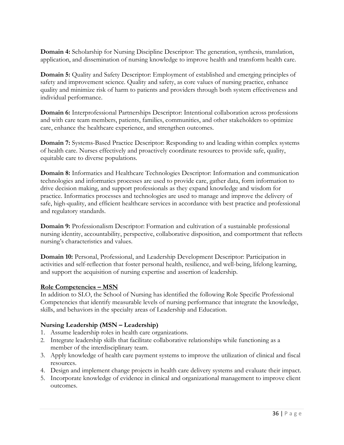**Domain 4:** Scholarship for Nursing Discipline Descriptor: The generation, synthesis, translation, application, and dissemination of nursing knowledge to improve health and transform health care.

**Domain 5:** Quality and Safety Descriptor: Employment of established and emerging principles of safety and improvement science. Quality and safety, as core values of nursing practice, enhance quality and minimize risk of harm to patients and providers through both system effectiveness and individual performance.

**Domain 6:** Interprofessional Partnerships Descriptor: Intentional collaboration across professions and with care team members, patients, families, communities, and other stakeholders to optimize care, enhance the healthcare experience, and strengthen outcomes.

**Domain 7:** Systems-Based Practice Descriptor: Responding to and leading within complex systems of health care. Nurses effectively and proactively coordinate resources to provide safe, quality, equitable care to diverse populations.

**Domain 8:** Informatics and Healthcare Technologies Descriptor: Information and communication technologies and informatics processes are used to provide care, gather data, form information to drive decision making, and support professionals as they expand knowledge and wisdom for practice. Informatics processes and technologies are used to manage and improve the delivery of safe, high-quality, and efficient healthcare services in accordance with best practice and professional and regulatory standards.

**Domain 9:** Professionalism Descriptor: Formation and cultivation of a sustainable professional nursing identity, accountability, perspective, collaborative disposition, and comportment that reflects nursing's characteristics and values.

**Domain 10:** Personal, Professional, and Leadership Development Descriptor: Participation in activities and self-reflection that foster personal health, resilience, and well-being, lifelong learning, and support the acquisition of nursing expertise and assertion of leadership.

# **Role Competencies – MSN**

In addition to SLO, the School of Nursing has identified the following Role Specific Professional Competencies that identify measurable levels of nursing performance that integrate the knowledge, skills, and behaviors in the specialty areas of Leadership and Education.

# **Nursing Leadership (MSN – Leadership)**

- 1. Assume leadership roles in health care organizations.
- 2. Integrate leadership skills that facilitate collaborative relationships while functioning as a member of the interdisciplinary team.
- 3. Apply knowledge of health care payment systems to improve the utilization of clinical and fiscal resources.
- 4. Design and implement change projects in health care delivery systems and evaluate their impact.
- 5. Incorporate knowledge of evidence in clinical and organizational management to improve client outcomes.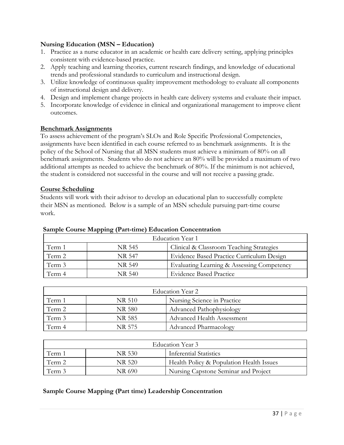#### **Nursing Education (MSN – Education)**

- 1. Practice as a nurse educator in an academic or health care delivery setting, applying principles consistent with evidence-based practice.
- 2. Apply teaching and learning theories, current research findings, and knowledge of educational trends and professional standards to curriculum and instructional design.
- 3. Utilize knowledge of continuous quality improvement methodology to evaluate all components of instructional design and delivery.
- 4. Design and implement change projects in health care delivery systems and evaluate their impact.
- 5. Incorporate knowledge of evidence in clinical and organizational management to improve client outcomes.

#### **Benchmark Assignments**

To assess achievement of the program's SLOs and Role Specific Professional Competencies, assignments have been identified in each course referred to as benchmark assignments. It is the policy of the School of Nursing that all MSN students must achieve a minimum of 80% on all benchmark assignments. Students who do not achieve an 80% will be provided a maximum of two additional attempts as needed to achieve the benchmark of 80%. If the minimum is not achieved, the student is considered not successful in the course and will not receive a passing grade.

#### **Course Scheduling**

Students will work with their advisor to develop an educational plan to successfully complete their MSN as mentioned. Below is a sample of an MSN schedule pursuing part-time course work.

|        | Education Year 1 |                                            |  |  |  |  |  |
|--------|------------------|--------------------------------------------|--|--|--|--|--|
| Term 1 | NR 545           | Clinical & Classroom Teaching Strategies   |  |  |  |  |  |
| Term 2 | NR 547           | Evidence Based Practice Curriculum Design  |  |  |  |  |  |
| Term 3 | NR 549           | Evaluating Learning & Assessing Competency |  |  |  |  |  |
| Term 4 | NR 540           | <b>Evidence Based Practice</b>             |  |  |  |  |  |

#### **Sample Course Mapping (Part-time) Education Concentration**

| Education Year 2                                |        |                                   |  |  |
|-------------------------------------------------|--------|-----------------------------------|--|--|
| Nursing Science in Practice<br>Term 1<br>NR 510 |        |                                   |  |  |
| Term 2                                          | NR 580 | Advanced Pathophysiology          |  |  |
| Term 3                                          | NR 585 | <b>Advanced Health Assessment</b> |  |  |
| Term 4                                          | NR 575 | <b>Advanced Pharmacology</b>      |  |  |

| Education Year 3                            |        |                                          |  |  |  |
|---------------------------------------------|--------|------------------------------------------|--|--|--|
| Inferential Statistics<br>Term î<br>NR 530. |        |                                          |  |  |  |
| Term 2                                      | NR 520 | Health Policy & Population Health Issues |  |  |  |
| Term 3                                      | NR 690 | Nursing Capstone Seminar and Project     |  |  |  |

#### **Sample Course Mapping (Part time) Leadership Concentration**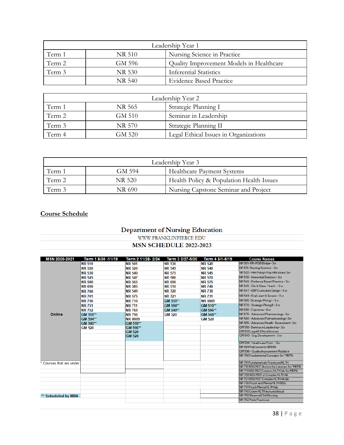| Leadership Year 1                               |        |                                          |  |  |  |
|-------------------------------------------------|--------|------------------------------------------|--|--|--|
| Term 1<br>Nursing Science in Practice<br>NR 510 |        |                                          |  |  |  |
| Term 2                                          | GM 596 | Quality Improvement Models in Healthcare |  |  |  |
| Term 3                                          | NR 530 | <b>Inferential Statistics</b>            |  |  |  |
|                                                 | NR 540 | <b>Evidence Based Practice</b>           |  |  |  |

| Leadership Year 2                        |        |                                       |  |  |  |
|------------------------------------------|--------|---------------------------------------|--|--|--|
| Strategic Planning I<br>Term 1<br>NR 565 |        |                                       |  |  |  |
| Term 2                                   | GM 510 | Seminar in Leadership                 |  |  |  |
| Term 3                                   | NR 570 | Strategic Planning II                 |  |  |  |
| Term 4                                   | GM 520 | Legal Ethical Issues in Organizations |  |  |  |

| Leadership Year 3 |        |                                          |  |  |  |
|-------------------|--------|------------------------------------------|--|--|--|
| Term 1            | GM 594 | <b>Healthcare Payment Systems</b>        |  |  |  |
| Term 2            | NR 520 | Health Policy & Population Health Issues |  |  |  |
| Term 3            | NR 690 | Nursing Capstone Seminar and Project     |  |  |  |

# **Course Schedule**

# **Department of Nursing Education**

#### WWW.FRANKLINPIERCE.EDU **MSN SCHEDULE 2022-2023**

| MSN 2020-2021            | Term 1 8/30 -11/19 | Term 2 11/28-2/24 | Term 3 2/27-5/20 | Term 4 6/1-8/19 | <b>Course Names</b>                                               |
|--------------------------|--------------------|-------------------|------------------|-----------------|-------------------------------------------------------------------|
|                          | <b>NR 510</b>      | <b>NR 501</b>     | <b>NR 530</b>    | <b>NR 520</b>   | NR 501-RN-MSN Bridge-3cr                                          |
|                          | <b>NR 520</b>      | <b>NR 520</b>     | <b>NR 549</b>    | <b>NR 540</b>   | NR 510-Nursing Science - 3cr                                      |
|                          | <b>NR 530</b>      | <b>NR 540</b>     | <b>NR 575</b>    | <b>NR 545</b>   | NR 520 - Hith Policy & Pop, Hith Issues-3cr                       |
|                          | <b>NR 545</b>      | <b>NR 547</b>     | <b>NR 580</b>    | <b>NR 570</b>   | NR 530 - Inferential Statistics- 3cr                              |
|                          | <b>NR 580</b>      | <b>NR 565</b>     | <b>NR 690</b>    | <b>NR 575</b>   | NR 540 - Evidence Based Practice - 3cr                            |
|                          | <b>NR 690</b>      | <b>NR 585</b>     | <b>NR 510</b>    | <b>NR 740</b>   | NR 545 - Clin & Class, Teach - 3 or                               |
|                          | <b>NR 700</b>      | <b>NR 549</b>     | <b>NR 720</b>    | <b>NR730</b>    | NR 547 - EBP Curriculum Design - 3 or                             |
|                          | <b>NR 701</b>      | <b>NR 575</b>     | <b>NR 721</b>    | <b>NR 731</b>   | NB 543 - Eval Learn & Assess - 3 or                               |
|                          | <b>NR 750</b>      | <b>NR 710</b>     | GM 510**         | <b>NR 0009</b>  | NR 565 - Strategic Plning I - 3 or                                |
|                          | <b>NR 751</b>      | <b>NR711</b>      | GM 594**         | GM 510**        | NR 570 - Strategic Plning II - 3 cr                               |
|                          | <b>NR752</b>       | <b>NR 760</b>     | GM 540**         | GM 596**        | NR 690 - Capstone - 6 or                                          |
| Online                   | GM 510**           | <b>NR 790</b>     | <b>GM 520</b>    | GM 540**        | NR 575 - Advanced Pharmacology- 3cr                               |
|                          | GM 594**           | <b>NR 0009</b>    |                  | <b>GM 520</b>   | NR 580 - Advanced Pathophysiology-3cr                             |
|                          | GM 540**           | <b>GM 510**</b>   |                  |                 | NR 585 - Advanced Health Assessment- 3cr                          |
|                          | <b>GM 520</b>      | GM 596**          |                  |                 | GM 510- Seminar in Leadership-3cr                                 |
|                          |                    | <b>GM 520</b>     |                  |                 | GM 520 Legal & Ethical Isssues                                    |
|                          |                    | <b>GM 520</b>     |                  |                 | GM 540 - Org. Development - 3 cr                                  |
|                          |                    |                   |                  |                 | GM 594 - Healthcare Pumt. - 3cr                                   |
|                          |                    |                   |                  |                 | NB 003 PreCourse for NB630                                        |
|                          |                    |                   |                  |                 | GM 596 - Quality Improvement Models in                            |
|                          |                    |                   |                  |                 | NR 700 Fundamental Concepts 3cr "MEPN                             |
| * Courses that are under |                    |                   |                  |                 | NB 701 Fundamentals Practicum/HLTH                                |
|                          |                    |                   |                  |                 | NR 710 NSG MGT Across the Lifespan 3cr "MEPN"                     |
|                          |                    |                   |                  |                 | NB 711NSG MGT Common HLTH Jab 3cr MEPN                            |
|                          |                    |                   |                  |                 | NR 720 NSG MGT of Complex HLTH Alt                                |
|                          |                    |                   |                  |                 | NR 721NSG MGT Complex HLTH Alt lab                                |
|                          |                    |                   |                  |                 | NR 730 Psych and Mental HLTH NSG                                  |
|                          |                    |                   |                  |                 | NR 731 Psych Mental HLTH lab<br>NR 740 Comm HLTH lecture/clinical |
|                          |                    |                   |                  |                 | NR 750 Maternal/Child Nursing                                     |
| <b>Scheduled by MBA</b>  |                    |                   |                  |                 | NR 752 Peds Practicum                                             |
|                          |                    |                   |                  |                 |                                                                   |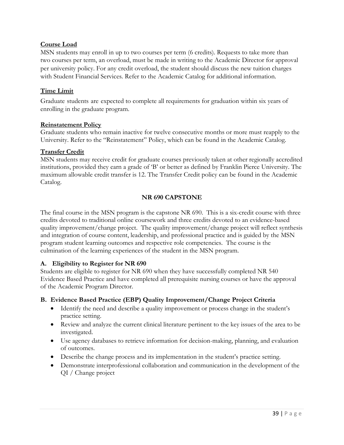#### **Course Load**

MSN students may enroll in up to two courses per term (6 credits). Requests to take more than two courses per term, an overload, must be made in writing to the Academic Director for approval per university policy. For any credit overload, the student should discuss the new tuition charges with Student Financial Services. Refer to the Academic Catalog for additional information.

#### **Time Limit**

Graduate students are expected to complete all requirements for graduation within six years of enrolling in the graduate program.

#### **Reinstatement Policy**

Graduate students who remain inactive for twelve consecutive months or more must reapply to the University. Refer to the "Reinstatement" Policy, which can be found in the Academic Catalog.

#### **Transfer Credit**

MSN students may receive credit for graduate courses previously taken at other regionally accredited institutions, provided they earn a grade of 'B' or better as defined by Franklin Pierce University. The maximum allowable credit transfer is 12. The Transfer Credit policy can be found in the Academic Catalog.

#### **NR 690 CAPSTONE**

The final course in the MSN program is the capstone NR 690. This is a six-credit course with three credits devoted to traditional online coursework and three credits devoted to an evidence-based quality improvement/change project. The quality improvement/change project will reflect synthesis and integration of course content, leadership, and professional practice and is guided by the MSN program student learning outcomes and respective role competencies. The course is the culmination of the learning experiences of the student in the MSN program.

#### **A. Eligibility to Register for NR 690**

Students are eligible to register for NR 690 when they have successfully completed NR 540 Evidence Based Practice and have completed all prerequisite nursing courses or have the approval of the Academic Program Director.

#### **B. Evidence Based Practice (EBP) Quality Improvement/Change Project Criteria**

- Identify the need and describe a quality improvement or process change in the student's practice setting.
- Review and analyze the current clinical literature pertinent to the key issues of the area to be investigated.
- Use agency databases to retrieve information for decision-making, planning, and evaluation of outcomes.
- Describe the change process and its implementation in the student's practice setting.
- Demonstrate interprofessional collaboration and communication in the development of the QI / Change project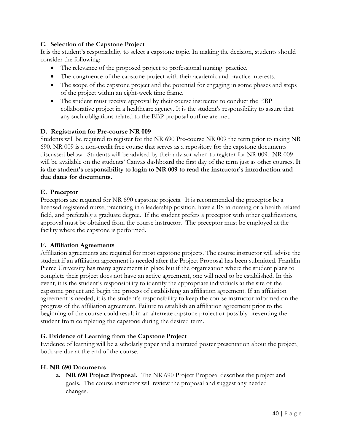#### **C. Selection of the Capstone Project**

It is the student's responsibility to select a capstone topic. In making the decision, students should consider the following:

- The relevance of the proposed project to professional nursing practice.
- The congruence of the capstone project with their academic and practice interests.
- The scope of the capstone project and the potential for engaging in some phases and steps of the project within an eight-week time frame.
- The student must receive approval by their course instructor to conduct the EBP collaborative project in a healthcare agency. It is the student's responsibility to assure that any such obligations related to the EBP proposal outline are met.

#### **D. Registration for Pre-course NR 009**

Students will be required to register for the NR 690 Pre-course NR 009 the term prior to taking NR 690. NR 009 is a non-credit free course that serves as a repository for the capstone documents discussed below. Students will be advised by their advisor when to register for NR 009. NR 009 will be available on the students' Canvas dashboard the first day of the term just as other courses. **It is the student's responsibility to login to NR 009 to read the instructor's introduction and due dates for documents.**

#### **E. Preceptor**

Preceptors are required for NR 690 capstone projects. It is recommended the preceptor be a licensed registered nurse, practicing in a leadership position, have a BS in nursing or a health-related field, and preferably a graduate degree. If the student prefers a preceptor with other qualifications, approval must be obtained from the course instructor. The preceptor must be employed at the facility where the capstone is performed.

#### **F. Affiliation Agreements**

Affiliation agreements are required for most capstone projects. The course instructor will advise the student if an affiliation agreement is needed after the Project Proposal has been submitted. Franklin Pierce University has many agreements in place but if the organization where the student plans to complete their project does not have an active agreement, one will need to be established. In this event, it is the student's responsibility to identify the appropriate individuals at the site of the capstone project and begin the process of establishing an affiliation agreement. If an affiliation agreement is needed, it is the student's responsibility to keep the course instructor informed on the progress of the affiliation agreement. Failure to establish an affiliation agreement prior to the beginning of the course could result in an alternate capstone project or possibly preventing the student from completing the capstone during the desired term.

#### **G. Evidence of Learning from the Capstone Project**

Evidence of learning will be a scholarly paper and a narrated poster presentation about the project, both are due at the end of the course.

#### **H. NR 690 Documents**

**a. NR 690 Project Proposal.** The NR 690 Project Proposal describes the project and goals. The course instructor will review the proposal and suggest any needed changes.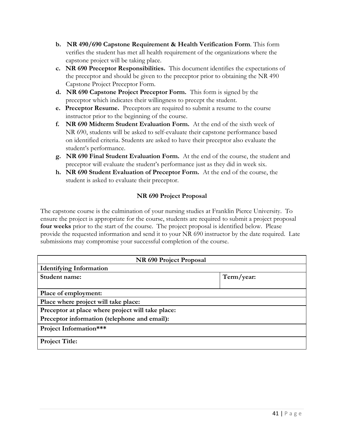- **b. NR 490/690 Capstone Requirement & Health Verification Form**. This form verifies the student has met all health requirement of the organizations where the capstone project will be taking place.
- **c. NR 690 Preceptor Responsibilities.** This document identifies the expectations of the preceptor and should be given to the preceptor prior to obtaining the NR 490 Capstone Project Preceptor Form.
- **d. NR 690 Capstone Project Preceptor Form.** This form is signed by the preceptor which indicates their willingness to precept the student.
- **e. Preceptor Resume.** Preceptors are required to submit a resume to the course instructor prior to the beginning of the course.
- **f. NR 690 Midterm Student Evaluation Form.** At the end of the sixth week of NR 690, students will be asked to self-evaluate their capstone performance based on identified criteria. Students are asked to have their preceptor also evaluate the student's performance.
- **g. NR 690 Final Student Evaluation Form.** At the end of the course, the student and preceptor will evaluate the student's performance just as they did in week six.
- **h. NR 690 Student Evaluation of Preceptor Form.** At the end of the course, the student is asked to evaluate their preceptor.

# **NR 690 Project Proposal**

The capstone course is the culmination of your nursing studies at Franklin Pierce University. To ensure the project is appropriate for the course, students are required to submit a project proposal **four weeks** prior to the start of the course. The project proposal is identified below. Please provide the requested information and send it to your NR 690 instructor by the date required. Late submissions may compromise your successful completion of the course.

| NR 690 Project Proposal                           |            |
|---------------------------------------------------|------------|
| <b>Identifying Information</b>                    |            |
| Student name:                                     | Term/year: |
|                                                   |            |
| Place of employment:                              |            |
| Place where project will take place:              |            |
| Preceptor at place where project will take place: |            |
| Preceptor information (telephone and email):      |            |
| Project Information***                            |            |
| <b>Project Title:</b>                             |            |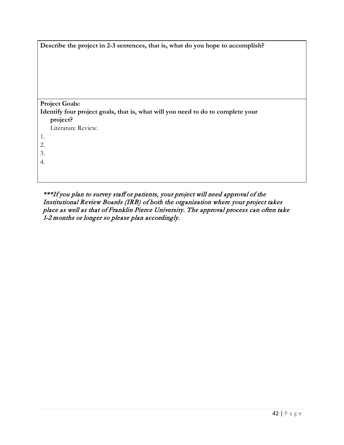| Describe the project in 2-3 sentences, that is, what do you hope to accomplish?             |
|---------------------------------------------------------------------------------------------|
|                                                                                             |
| <b>Project Goals:</b>                                                                       |
| Identify four project goals, that is, what will you need to do to complete your<br>project? |
| Literature Review.                                                                          |
| 1.                                                                                          |
| 2.                                                                                          |
| 3.                                                                                          |
| 4.                                                                                          |
|                                                                                             |
|                                                                                             |

 \*\*\*If you plan to survey staff or patients, your project will need approval of the Institutional Review Boards (IRB) of both the organization where your project takes place as well as that of Franklin Pierce University. The approval process can often take 1-2 months or longer so please plan accordingly.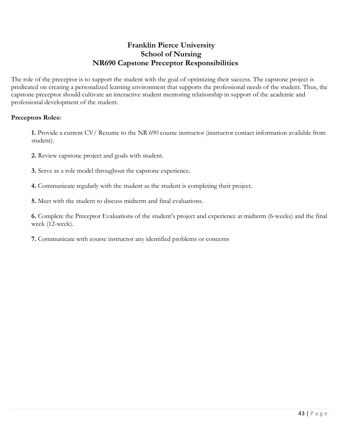# **Franklin Pierce University School of Nursing NR690 Capstone Preceptor Responsibilities**

The role of the preceptor is to support the student with the goal of optimizing their success. The capstone project is predicated on creating a personalized learning environment that supports the professional needs of the student. Thus, the capstone preceptor should cultivate an interactive student mentoring relationship in support of the academic and professional development of the student.

#### **Preceptors Roles:**

**1.** Provide a current CV/ Resume to the NR 690 course instructor (instructor contact information available from student).

- **2.** Review capstone project and goals with student.
- **3.** Serve as a role model throughout the capstone experience.
- **4.** Communicate regularly with the student as the student is completing their project.
- **5.** Meet with the student to discuss midterm and final evaluations.

**6.** Complete the Preceptor Evaluations of the student's project and experience at midterm (6-weeks) and the final week (12-week).

**7.** Communicate with course instructor any identified problems or concerns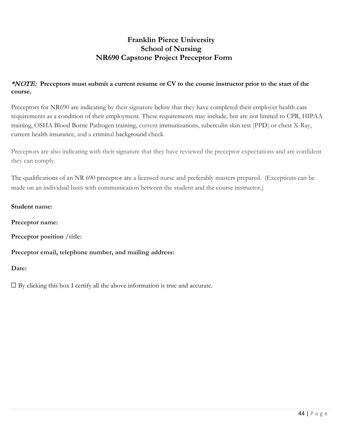# **Franklin Pierce University School of Nursing NR690 Capstone Project Preceptor Form**

### \*NOTE: Preceptors must submit a current resume or CV to the course instructor prior to the start of the **course.**

Preceptors for NR690 are indicating by their signature below that they have completed their employer health care requirements as a condition of their employment. These requirements may include, but are not limited to CPR, HIPAA training, OSHA Blood Borne Pathogen training, current immunizations, tuberculin skin test (PPD) or chest X-Ray, current health insurance, and a criminal background check.

Preceptors are also indicating with their signature that they have reviewed the preceptor expectations and are confident they can comply.

The qualifications of an NR 690 preceptor are a licensed nurse and preferably masters prepared. (Exceptions can be made on an individual basis with communication between the student and the course instructor.)

#### **Student name:**

**Preceptor name:**

**Preceptor position /title:**

#### **Preceptor email, telephone number, and mailing address:**

**Date:**

 $\Box$  By clicking this box I certify all the above information is true and accurate.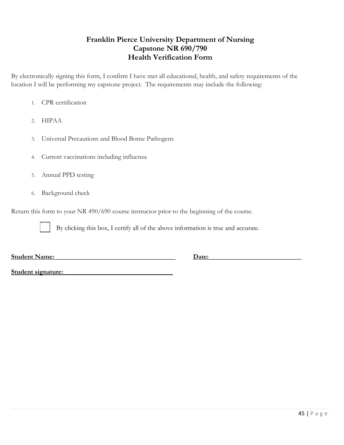# **Franklin Pierce University Department of Nursing Capstone NR 690/790 Health Verification Form**

By electronically signing this form, I confirm I have met all educational, health, and safety requirements of the location I will be performing my capstone project. The requirements may include the following:

- 1. CPR certification
- 2. HIPAA
- 3. Universal Precautions and Blood Borne Pathogens
- 4. Current vaccinations including influenza
- 5. Annual PPD testing
- 6. Background check

Return this form to your NR 490/690 course instructor prior to the beginning of the course.

By clicking this box, I certify all of the above information is true and accurate.

**Student Name: \_\_\_\_\_\_\_\_\_\_\_\_\_\_\_\_\_\_\_\_\_\_\_\_\_\_\_\_\_\_\_\_\_\_\_ Date: \_\_\_\_\_\_\_\_\_\_\_\_\_\_\_\_\_\_\_\_\_\_\_\_\_\_\_**

**Student signature: \_\_\_\_\_\_\_\_\_\_\_\_\_\_\_\_\_\_\_\_\_\_\_\_\_\_\_\_\_\_\_\_**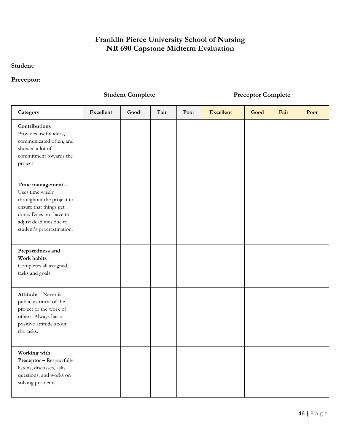# **Franklin Pierce University School of Nursing NR 690 Capstone Midterm Evaluation**

# **Student:**

### **Preceptor:**

# **Student Complete Preceptor Complete**

| Category                                                                                                                                                                       | <b>Excellent</b> | Good | Fair | Poor | <b>Excellent</b> | Good | Fair | Poor |
|--------------------------------------------------------------------------------------------------------------------------------------------------------------------------------|------------------|------|------|------|------------------|------|------|------|
| Contributions-<br>Provides useful ideas,<br>communicated often, and<br>showed a lot of<br>commitment towards the<br>project                                                    |                  |      |      |      |                  |      |      |      |
| Time management-<br>Uses time wisely<br>throughout the project to<br>ensure that things get<br>done. Does not have to<br>adjust deadlines due to<br>student's procrastination. |                  |      |      |      |                  |      |      |      |
| Preparedness and<br>Work habits -<br>Completes all assigned<br>tasks and goals.                                                                                                |                  |      |      |      |                  |      |      |      |
| Attitude - Never is<br>publicly critical of the<br>project or the work of<br>others. Always has a<br>positive attitude about<br>the tasks.                                     |                  |      |      |      |                  |      |      |      |
| Working with<br><b>Preceptor - Respectfully</b><br>listens, discusses, asks<br>questions, and works on<br>solving problems.                                                    |                  |      |      |      |                  |      |      |      |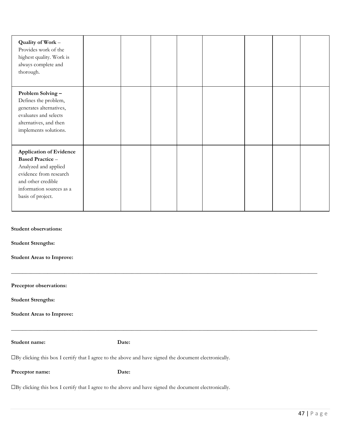| Student name:                                                                                                                                   | Date: |  |  |  |
|-------------------------------------------------------------------------------------------------------------------------------------------------|-------|--|--|--|
| <b>Student Areas to Improve:</b>                                                                                                                |       |  |  |  |
| <b>Student Strengths:</b>                                                                                                                       |       |  |  |  |
| Preceptor observations:                                                                                                                         |       |  |  |  |
| <b>Student Areas to Improve:</b>                                                                                                                |       |  |  |  |
| <b>Student Strengths:</b>                                                                                                                       |       |  |  |  |
| <b>Student observations:</b>                                                                                                                    |       |  |  |  |
| and other credible<br>information sources as a<br>basis of project.                                                                             |       |  |  |  |
| <b>Application of Evidence</b><br><b>Based Practice -</b><br>Analyzed and applied<br>evidence from research                                     |       |  |  |  |
| Problem Solving-<br>Defines the problem,<br>generates alternatives,<br>evaluates and selects<br>alternatives, and then<br>implements solutions. |       |  |  |  |
| Quality of Work -<br>Provides work of the<br>highest quality. Work is<br>always complete and<br>thorough.                                       |       |  |  |  |

☐By clicking this box I certify that I agree to the above and have signed the document electronically.

**Preceptor name: Date:**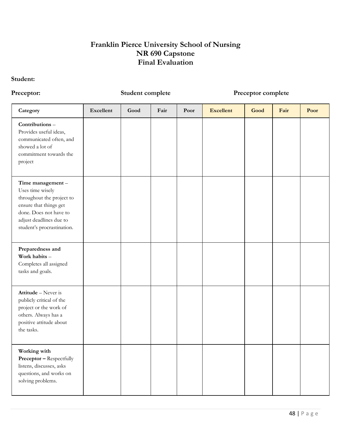# **Franklin Pierce University School of Nursing NR 690 Capstone Final Evaluation**

#### **Student:**

### **Preceptor: Student complete Preceptor complete**

| Category                                                                                                                                                                       | Excellent | Good | Fair | Poor | <b>Excellent</b> | Good | Fair | Poor |
|--------------------------------------------------------------------------------------------------------------------------------------------------------------------------------|-----------|------|------|------|------------------|------|------|------|
| Contributions-<br>Provides useful ideas,<br>communicated often, and<br>showed a lot of<br>commitment towards the<br>project                                                    |           |      |      |      |                  |      |      |      |
| Time management-<br>Uses time wisely<br>throughout the project to<br>ensure that things get<br>done. Does not have to<br>adjust deadlines due to<br>student's procrastination. |           |      |      |      |                  |      |      |      |
| Preparedness and<br>Work habits -<br>Completes all assigned<br>tasks and goals.                                                                                                |           |      |      |      |                  |      |      |      |
| Attitude - Never is<br>publicly critical of the<br>project or the work of<br>others. Always has a<br>positive attitude about<br>the tasks.                                     |           |      |      |      |                  |      |      |      |
| Working with<br><b>Preceptor - Respectfully</b><br>listens, discusses, asks<br>questions, and works on<br>solving problems.                                                    |           |      |      |      |                  |      |      |      |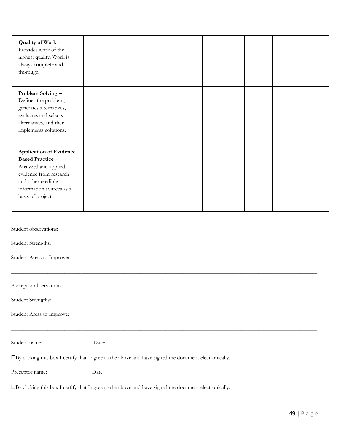| Quality of Work -<br>Provides work of the<br>highest quality. Work is<br>always complete and<br>thorough.                                                                          |       |  |  |  |  |  |  |
|------------------------------------------------------------------------------------------------------------------------------------------------------------------------------------|-------|--|--|--|--|--|--|
| Problem Solving-<br>Defines the problem,<br>generates alternatives,<br>evaluates and selects<br>alternatives, and then<br>implements solutions.                                    |       |  |  |  |  |  |  |
| <b>Application of Evidence</b><br><b>Based Practice -</b><br>Analyzed and applied<br>evidence from research<br>and other credible<br>information sources as a<br>basis of project. |       |  |  |  |  |  |  |
| Student observations:<br>Student Strengths:<br>Student Areas to Improve:<br>Preceptor observations:                                                                                |       |  |  |  |  |  |  |
| Student Strengths:<br>Student Areas to Improve:                                                                                                                                    |       |  |  |  |  |  |  |
| Student name:                                                                                                                                                                      | Date: |  |  |  |  |  |  |
| □By clicking this box I certify that I agree to the above and have signed the document electronically.                                                                             |       |  |  |  |  |  |  |
| Preceptor name:                                                                                                                                                                    | Date: |  |  |  |  |  |  |
| □By clicking this box I certify that I agree to the above and have signed the document electronically.                                                                             |       |  |  |  |  |  |  |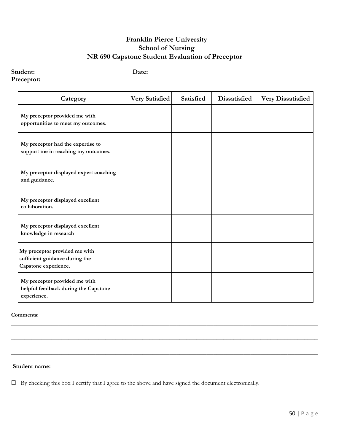# **Franklin Pierce University School of Nursing NR 690 Capstone Student Evaluation of Preceptor**

# **Student: Date:**

#### **Preceptor:**

| Category                                                                                | Very Satisfied | Satisfied | Dissatisfied | <b>Very Dissatisfied</b> |
|-----------------------------------------------------------------------------------------|----------------|-----------|--------------|--------------------------|
| My preceptor provided me with<br>opportunities to meet my outcomes.                     |                |           |              |                          |
| My preceptor had the expertise to<br>support me in reaching my outcomes.                |                |           |              |                          |
| My preceptor displayed expert coaching<br>and guidance.                                 |                |           |              |                          |
| My preceptor displayed excellent<br>collaboration.                                      |                |           |              |                          |
| My preceptor displayed excellent<br>knowledge in research                               |                |           |              |                          |
| My preceptor provided me with<br>sufficient guidance during the<br>Capstone experience. |                |           |              |                          |
| My preceptor provided me with<br>helpful feedback during the Capstone<br>experience.    |                |           |              |                          |

 $\_$  , and the set of the set of the set of the set of the set of the set of the set of the set of the set of the set of the set of the set of the set of the set of the set of the set of the set of the set of the set of th

 $\_$  , and the set of the set of the set of the set of the set of the set of the set of the set of the set of the set of the set of the set of the set of the set of the set of the set of the set of the set of the set of th

 $\_$  , and the set of the set of the set of the set of the set of the set of the set of the set of the set of the set of the set of the set of the set of the set of the set of the set of the set of the set of the set of th

#### **Comments:**

#### **Student name:**

☐ By checking this box I certify that I agree to the above and have signed the document electronically.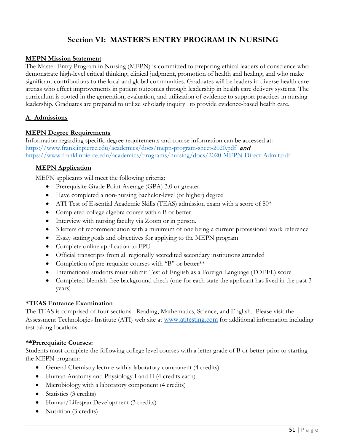# **Section VI: MASTER'S ENTRY PROGRAM IN NURSING**

#### **MEPN Mission Statement**

The Master Entry Program in Nursing (MEPN) is committed to preparing ethical leaders of conscience who demonstrate high-level critical thinking, clinical judgment, promotion of health and healing, and who make significant contributions to the local and global communities. Graduates will be leaders in diverse health care arenas who effect improvements in patient outcomes through leadership in health care delivery systems. The curriculum is rooted in the generation, evaluation, and utilization of evidence to support practices in nursing leadership. Graduates are prepared to utilize scholarly inquiry to provide evidence-based health care.

#### **A. Admissions**

#### **MEPN Degree Requirements**

Information regarding specific degree requirements and course information can be accessed at: <https://www.franklinpierce.edu/academics/docs/mepn-program-sheet-2020.pdf> and <https://www.franklinpierce.edu/academics/programs/nursing/docs/2020-MEPN-Direct-Admit.pdf>

#### **MEPN Application**

MEPN applicants will meet the following criteria:

- Prerequisite Grade Point Average (GPA) 3.0 or greater.
- Have completed a non-nursing bachelor-level (or higher) degree
- ATI Test of Essential Academic Skills (TEAS) admission exam with a score of 80\*
- Completed college algebra course with a B or better
- Interview with nursing faculty via Zoom or in person.
- 3 letters of recommendation with a minimum of one being a current professional work reference
- Essay stating goals and objectives for applying to the MEPN program
- Complete online application to FPU
- Official transcripts from all regionally accredited secondary institutions attended
- Completion of pre-requisite courses with "B" or better\*\*
- International students must submit Test of English as a Foreign Language (TOEFL) score
- Completed blemish-free background check (one for each state the applicant has lived in the past 3 years)

#### **\*TEAS Entrance Examination**

The TEAS is comprised of four sections: Reading, Mathematics, Science, and English. Please visit the Assessment Technologies Institute (ATI) web site at [www.atitesting.com](http://www.atitesting.com/) for additional information including test taking locations.

#### **\*\*Prerequisite Courses:**

Students must complete the following college level courses with a letter grade of B or better prior to starting the MEPN program:

- General Chemistry lecture with a laboratory component (4 credits)
- Human Anatomy and Physiology I and II (4 credits each)
- Microbiology with a laboratory component (4 credits)
- Statistics (3 credits)
- Human/Lifespan Development (3 credits)
- Nutrition (3 credits)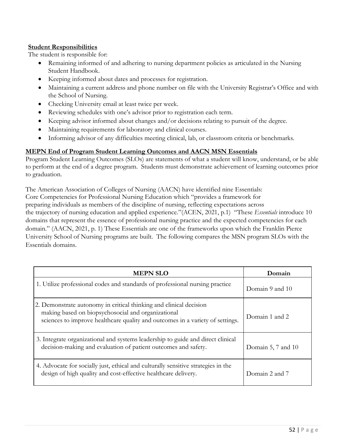#### **Student Responsibilities**

The student is responsible for:

- Remaining informed of and adhering to nursing department policies as articulated in the Nursing Student Handbook.
- Keeping informed about dates and processes for registration.
- Maintaining a current address and phone number on file with the University Registrar's Office and with the School of Nursing.
- Checking University email at least twice per week.
- Reviewing schedules with one's advisor prior to registration each term.
- Keeping advisor informed about changes and/or decisions relating to pursuit of the degree.
- Maintaining requirements for laboratory and clinical courses.
- Informing advisor of any difficulties meeting clinical, lab, or classroom criteria or benchmarks.

# **MEPN End of Program Student Learning Outcomes and AACN MSN Essentials**

Program Student Learning Outcomes (SLOs) are statements of what a student will know, understand, or be able to perform at the end of a degree program. Students must demonstrate achievement of learning outcomes prior to graduation.

The American Association of Colleges of Nursing (AACN) have identified nine Essentials: Core Competencies for Professional Nursing Education which "provides a framework for preparing individuals as members of the discipline of nursing, reflecting expectations across the trajectory of nursing education and applied experience."(ACEN, 2021, p.1) "These *Essentials* introduce 10 domains that represent the essence of professional nursing practice and the expected competencies for each domain." (AACN, 2021, p. 1) These Essentials are one of the frameworks upon which the Franklin Pierce University School of Nursing programs are built. The following compares the MSN program SLOs with the Essentials domains.

| <b>MEPN SLO</b>                                                                                                                                                                                           | Domain             |
|-----------------------------------------------------------------------------------------------------------------------------------------------------------------------------------------------------------|--------------------|
| 1. Utilize professional codes and standards of professional nursing practice                                                                                                                              | Domain 9 and 10    |
| 2. Demonstrate autonomy in critical thinking and clinical decision<br>making based on biopsychosocial and organizational<br>sciences to improve healthcare quality and outcomes in a variety of settings. | Domain 1 and 2     |
| 3. Integrate organizational and systems leadership to guide and direct clinical<br>decision-making and evaluation of patient outcomes and safety.                                                         | Domain 5, 7 and 10 |
| 4. Advocate for socially just, ethical and culturally sensitive strategies in the<br>design of high quality and cost-effective healthcare delivery.                                                       | Domain 2 and 7     |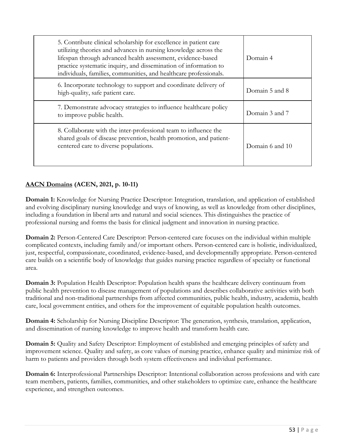| 5. Contribute clinical scholarship for excellence in patient care<br>utilizing theories and advances in nursing knowledge across the<br>lifespan through advanced health assessment, evidence-based<br>practice systematic inquiry, and dissemination of information to<br>individuals, families, communities, and healthcare professionals. | Domain 4        |
|----------------------------------------------------------------------------------------------------------------------------------------------------------------------------------------------------------------------------------------------------------------------------------------------------------------------------------------------|-----------------|
| 6. Incorporate technology to support and coordinate delivery of<br>high-quality, safe patient care.                                                                                                                                                                                                                                          | Domain 5 and 8  |
| 7. Demonstrate advocacy strategies to influence healthcare policy<br>to improve public health.                                                                                                                                                                                                                                               | Domain 3 and 7  |
| 8. Collaborate with the inter-professional team to influence the<br>shared goals of disease prevention, health promotion, and patient-<br>centered care to diverse populations.                                                                                                                                                              | Domain 6 and 10 |

# **AACN Domains (ACEN, 2021, p. 10-11)**

**Domain 1:** Knowledge for Nursing Practice Descriptor: Integration, translation, and application of established and evolving disciplinary nursing knowledge and ways of knowing, as well as knowledge from other disciplines, including a foundation in liberal arts and natural and social sciences. This distinguishes the practice of professional nursing and forms the basis for clinical judgment and innovation in nursing practice.

**Domain 2:** Person-Centered Care Descriptor: Person-centered care focuses on the individual within multiple complicated contexts, including family and/or important others. Person-centered care is holistic, individualized, just, respectful, compassionate, coordinated, evidence-based, and developmentally appropriate. Person-centered care builds on a scientific body of knowledge that guides nursing practice regardless of specialty or functional area.

**Domain 3:** Population Health Descriptor: Population health spans the healthcare delivery continuum from public health prevention to disease management of populations and describes collaborative activities with both traditional and non-traditional partnerships from affected communities, public health, industry, academia, health care, local government entities, and others for the improvement of equitable population health outcomes.

**Domain 4:** Scholarship for Nursing Discipline Descriptor: The generation, synthesis, translation, application, and dissemination of nursing knowledge to improve health and transform health care.

**Domain 5:** Quality and Safety Descriptor: Employment of established and emerging principles of safety and improvement science. Quality and safety, as core values of nursing practice, enhance quality and minimize risk of harm to patients and providers through both system effectiveness and individual performance.

**Domain 6:** Interprofessional Partnerships Descriptor: Intentional collaboration across professions and with care team members, patients, families, communities, and other stakeholders to optimize care, enhance the healthcare experience, and strengthen outcomes.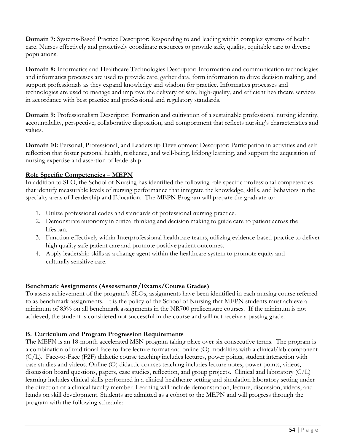**Domain 7:** Systems-Based Practice Descriptor: Responding to and leading within complex systems of health care. Nurses effectively and proactively coordinate resources to provide safe, quality, equitable care to diverse populations.

**Domain 8:** Informatics and Healthcare Technologies Descriptor: Information and communication technologies and informatics processes are used to provide care, gather data, form information to drive decision making, and support professionals as they expand knowledge and wisdom for practice. Informatics processes and technologies are used to manage and improve the delivery of safe, high-quality, and efficient healthcare services in accordance with best practice and professional and regulatory standards.

**Domain 9:** Professionalism Descriptor: Formation and cultivation of a sustainable professional nursing identity, accountability, perspective, collaborative disposition, and comportment that reflects nursing's characteristics and values.

**Domain 10:** Personal, Professional, and Leadership Development Descriptor: Participation in activities and selfreflection that foster personal health, resilience, and well-being, lifelong learning, and support the acquisition of nursing expertise and assertion of leadership.

# **Role Specific Competencies – MEPN**

In addition to SLO, the School of Nursing has identified the following role specific professional competencies that identify measurable levels of nursing performance that integrate the knowledge, skills, and behaviors in the specialty areas of Leadership and Education. The MEPN Program will prepare the graduate to:

- 1. Utilize professional codes and standards of professional nursing practice.
- 2. Demonstrate autonomy in critical thinking and decision making to guide care to patient across the lifespan.
- 3. Function effectively within Interprofessional healthcare teams, utilizing evidence-based practice to deliver high quality safe patient care and promote positive patient outcomes.
- 4. Apply leadership skills as a change agent within the healthcare system to promote equity and culturally sensitive care.

# **Benchmark Assignments (Assessments/Exams/Course Grades)**

To assess achievement of the program's SLOs, assignments have been identified in each nursing course referred to as benchmark assignments. It is the policy of the School of Nursing that MEPN students must achieve a minimum of 83% on all benchmark assignments in the NR700 prelicensure courses. If the minimum is not achieved, the student is considered not successful in the course and will not receive a passing grade.

# **B. Curriculum and Program Progression Requirements**

The MEPN is an 18-month accelerated MSN program taking place over six consecutive terms. The program is a combination of traditional face-to-face lecture format and online (O) modalities with a clinical/lab component (C/L). Face-to-Face (F2F) didactic course teaching includes lectures, power points, student interaction with case studies and videos. Online (O) didactic courses teaching includes lecture notes, power points, videos, discussion board questions, papers, case studies, reflection, and group projects. Clinical and laboratory (C/L) learning includes clinical skills performed in a clinical healthcare setting and simulation laboratory setting under the direction of a clinical faculty member. Learning will include demonstration, lecture, discussion, videos, and hands on skill development. Students are admitted as a cohort to the MEPN and will progress through the program with the following schedule: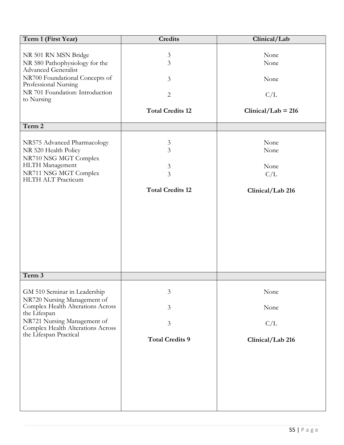| Term 1 (First Year)                                                                                                                            | <b>Credits</b>                             | Clinical/Lab                |
|------------------------------------------------------------------------------------------------------------------------------------------------|--------------------------------------------|-----------------------------|
| NR 501 RN MSN Bridge<br>NR 580 Pathophysiology for the                                                                                         | $\mathfrak{Z}$<br>3                        | None<br>None                |
| <b>Advanced Generalist</b><br>NR700 Foundational Concepts of<br>Professional Nursing                                                           | $\overline{3}$                             | None                        |
| NR 701 Foundation: Introduction<br>to Nursing                                                                                                  | $\overline{2}$                             | C/L                         |
|                                                                                                                                                | <b>Total Credits 12</b>                    | $Clinical/Lab = 216$        |
| Term 2                                                                                                                                         |                                            |                             |
| NR575 Advanced Pharmacology<br>NR 520 Health Policy<br>NR710 NSG MGT Complex<br>HLTH Management<br>NR711 NSG MGT Complex<br>HLTH ALT Practicum | $\mathfrak{Z}$<br>3<br>$\mathfrak{Z}$<br>3 | None<br>None<br>None<br>C/L |
|                                                                                                                                                | <b>Total Credits 12</b>                    | Clinical/Lab 216            |
| Term 3                                                                                                                                         |                                            |                             |
|                                                                                                                                                |                                            |                             |
| GM 510 Seminar in Leadership<br>NR720 Nursing Management of                                                                                    | 3                                          | None                        |
| Complex Health Alterations Across<br>the Lifespan                                                                                              | 3                                          | None                        |
| NR721 Nursing Management of<br>Complex Health Alterations Across                                                                               | $\mathfrak{Z}$                             | C/L                         |
| the Lifespan Practical                                                                                                                         | <b>Total Credits 9</b>                     | Clinical/Lab 216            |
|                                                                                                                                                |                                            |                             |
|                                                                                                                                                |                                            |                             |
|                                                                                                                                                |                                            |                             |
|                                                                                                                                                |                                            |                             |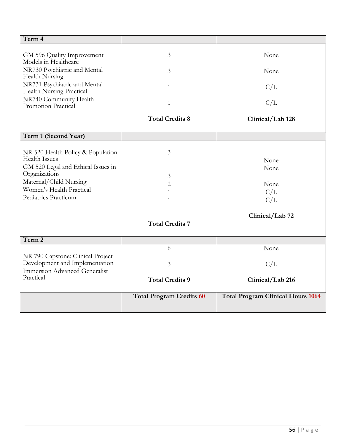| Term 4                                                                                                                                                                                         |                                                                         |                                                       |
|------------------------------------------------------------------------------------------------------------------------------------------------------------------------------------------------|-------------------------------------------------------------------------|-------------------------------------------------------|
| GM 596 Quality Improvement                                                                                                                                                                     | 3                                                                       | None                                                  |
| Models in Healthcare<br>NR730 Psychiatric and Mental<br>Health Nursing                                                                                                                         | 3                                                                       | None                                                  |
| NR731 Psychiatric and Mental<br>Health Nursing Practical                                                                                                                                       | $\mathbf{1}$                                                            | C/L                                                   |
| NR740 Community Health<br>Promotion Practical                                                                                                                                                  | $\mathbf{1}$                                                            | C/L                                                   |
|                                                                                                                                                                                                | <b>Total Credits 8</b>                                                  | Clinical/Lab 128                                      |
| Term 1 (Second Year)                                                                                                                                                                           |                                                                         |                                                       |
| NR 520 Health Policy & Population<br><b>Health Issues</b><br>GM 520 Legal and Ethical Issues in<br>Organizations<br>Maternal/Child Nursing<br>Women's Health Practical<br>Pediatrics Practicum | 3<br>3<br>$\overline{c}$<br>1<br>$\mathbf{1}$<br><b>Total Credits 7</b> | None<br>None<br>None<br>C/L<br>C/L<br>Clinical/Lab 72 |
| Term 2                                                                                                                                                                                         |                                                                         |                                                       |
|                                                                                                                                                                                                | 6                                                                       | None                                                  |
| NR 790 Capstone: Clinical Project<br>Development and Implementation<br><b>Immersion Advanced Generalist</b>                                                                                    | 3                                                                       | C/L                                                   |
| Practical                                                                                                                                                                                      | <b>Total Credits 9</b>                                                  | Clinical/Lab 216                                      |
|                                                                                                                                                                                                | <b>Total Program Credits 60</b>                                         | <b>Total Program Clinical Hours 1064</b>              |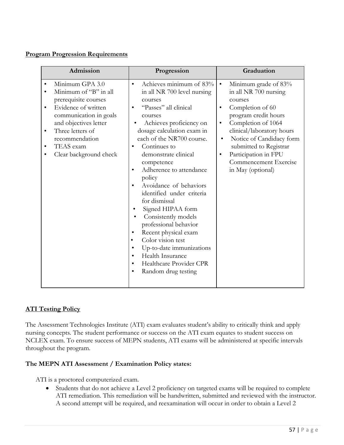#### **Program Progression Requirements**

| Admission                                                                                                                                                                                                                                 | Progression                                                                                                                                                                                                                                                                                                                                                                                                                                                                                                                                                                                                                                   | Graduation                                                                                                                                                                                                                                                                                                                                   |
|-------------------------------------------------------------------------------------------------------------------------------------------------------------------------------------------------------------------------------------------|-----------------------------------------------------------------------------------------------------------------------------------------------------------------------------------------------------------------------------------------------------------------------------------------------------------------------------------------------------------------------------------------------------------------------------------------------------------------------------------------------------------------------------------------------------------------------------------------------------------------------------------------------|----------------------------------------------------------------------------------------------------------------------------------------------------------------------------------------------------------------------------------------------------------------------------------------------------------------------------------------------|
| Minimum GPA 3.0<br>Minimum of "B" in all<br>prerequisite courses<br>Evidence of written<br>communication in goals<br>and objectives letter<br>Three letters of<br>$\bullet$<br>recommendation<br>TEAS exam<br>٠<br>Clear background check | Achieves minimum of 83%<br>$\bullet$<br>in all NR 700 level nursing<br>courses<br>"Passes" all clinical<br>courses<br>Achieves proficiency on<br>dosage calculation exam in<br>each of the NR700 course.<br>Continues to<br>demonstrate clinical<br>competence<br>Adherence to attendance<br>$\bullet$<br>policy<br>Avoidance of behaviors<br>identified under criteria<br>for dismissal<br>Signed HIPAA form<br>Consistently models<br>professional behavior<br>Recent physical exam<br>Color vision test<br>٠<br>Up-to-date immunizations<br>٠<br>Health Insurance<br>٠<br>Healthcare Provider CPR<br>$\bullet$<br>Random drug testing<br>٠ | Minimum grade of 83%<br>$\bullet$<br>in all NR 700 nursing<br>courses<br>Completion of 60<br>٠<br>program credit hours<br>Completion of 1064<br>$\bullet$<br>clinical/laboratory hours<br>Notice of Candidacy form<br>$\bullet$<br>submitted to Registrar<br>Participation in FPU<br>$\bullet$<br>Commencement Exercise<br>in May (optional) |

# **ATI Testing Policy**

The Assessment Technologies Institute (ATI) exam evaluates student's ability to critically think and apply nursing concepts. The student performance or success on the ATI exam equates to student success on NCLEX exam. To ensure success of MEPN students, ATI exams will be administered at specific intervals throughout the program.

#### **The MEPN ATI Assessment / Examination Policy states:**

ATI is a proctored computerized exam.

• Students that do not achieve a Level 2 proficiency on targeted exams will be required to complete ATI remediation. This remediation will be handwritten, submitted and reviewed with the instructor. A second attempt will be required, and reexamination will occur in order to obtain a Level 2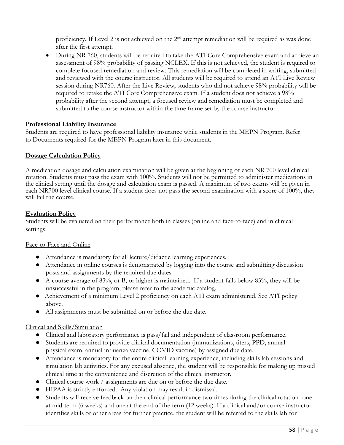proficiency. If Level 2 is not achieved on the 2<sup>nd</sup> attempt remediation will be required as was done after the first attempt.

• During NR 760, students will be required to take the ATI Core Comprehensive exam and achieve an assessment of 98% probability of passing NCLEX. If this is not achieved, the student is required to complete focused remediation and review. This remediation will be completed in writing, submitted and reviewed with the course instructor. All students will be required to attend an ATI Live Review session during NR760. After the Live Review, students who did not achieve 98% probability will be required to retake the ATI Core Comprehensive exam. If a student does not achieve a 98% probability after the second attempt, a focused review and remediation must be completed and submitted to the course instructor within the time frame set by the course instructor.

#### **Professional Liability Insurance**

Students are required to have professional liability insurance while students in the MEPN Program. Refer to Documents required for the MEPN Program later in this document.

#### **Dosage Calculation Policy**

A medication dosage and calculation examination will be given at the beginning of each NR 700 level clinical rotation. Students must pass the exam with 100%. Students will not be permitted to administer medications in the clinical setting until the dosage and calculation exam is passed. A maximum of two exams will be given in each NR700 level clinical course. If a student does not pass the second examination with a score of 100%, they will fail the course.

#### **Evaluation Policy**

Students will be evaluated on their performance both in classes (online and face-to-face) and in clinical settings.

#### Face-to-Face and Online

- Attendance is mandatory for all lecture/didactic learning experiences.
- Attendance in online courses is demonstrated by logging into the course and submitting discussion posts and assignments by the required due dates.
- A course average of 83%, or B, or higher is maintained. If a student falls below 83%, they will be unsuccessful in the program, please refer to the academic catalog.
- Achievement of a minimum Level 2 proficiency on each ATI exam administered. See ATI policy above.
- All assignments must be submitted on or before the due date.

#### Clinical and Skills/Simulation

- Clinical and laboratory performance is pass/fail and independent of classroom performance.
- Students are required to provide clinical documentation (immunizations, titers, PPD, annual physical exam, annual influenza vaccine, COVID vaccine) by assigned due date.
- Attendance is mandatory for the entire clinical learning experience, including skills lab sessions and simulation lab activities. For any excused absence, the student will be responsible for making up missed clinical time at the convenience and discretion of the clinical instructor.
- Clinical course work / assignments are due on or before the due date.
- HIPAA is strictly enforced. Any violation may result in dismissal.
- Students will receive feedback on their clinical performance two times during the clinical rotation- one at mid-term (6 weeks) and one at the end of the term (12 weeks). If a clinical and/or course instructor identifies skills or other areas for further practice, the student will be referred to the skills lab for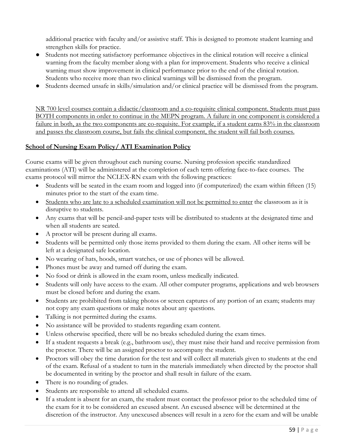additional practice with faculty and/or assistive staff. This is designed to promote student learning and strengthen skills for practice.

- Students not meeting satisfactory performance objectives in the clinical rotation will receive a clinical warning from the faculty member along with a plan for improvement. Students who receive a clinical warning must show improvement in clinical performance prior to the end of the clinical rotation. Students who receive more than two clinical warnings will be dismissed from the program.
- Students deemed unsafe in skills/simulation and/or clinical practice will be dismissed from the program.

NR 700 level courses contain a didactic/classroom and a co-requisite clinical component. Students must pass BOTH components in order to continue in the MEPN program. A failure in one component is considered a failure in both, as the two components are co-requisite. For example, if a student earns 83% in the classroom and passes the classroom course, but fails the clinical component, the student will fail both courses.

# **School of Nursing Exam Policy/ ATI Examination Policy**

Course exams will be given throughout each nursing course. Nursing profession specific standardized examinations (ATI) will be administered at the completion of each term offering face-to-face courses. The exams protocol will mirror the NCLEX-RN exam with the following practices:

- Students will be seated in the exam room and logged into (if computerized) the exam within fifteen (15) minutes prior to the start of the exam time.
- Students who are late to a scheduled examination will not be permitted to enter the classroom as it is disruptive to students.
- Any exams that will be pencil-and-paper tests will be distributed to students at the designated time and when all students are seated.
- A proctor will be present during all exams.
- Students will be permitted only those items provided to them during the exam. All other items will be left at a designated safe location.
- No wearing of hats, hoods, smart watches, or use of phones will be allowed.
- Phones must be away and turned off during the exam.
- No food or drink is allowed in the exam room, unless medically indicated.
- Students will only have access to the exam. All other computer programs, applications and web browsers must be closed before and during the exam.
- Students are prohibited from taking photos or screen captures of any portion of an exam; students may not copy any exam questions or make notes about any questions.
- Talking is not permitted during the exams.
- No assistance will be provided to students regarding exam content.
- Unless otherwise specified, there will be no breaks scheduled during the exam times.
- If a student requests a break (e.g., bathroom use), they must raise their hand and receive permission from the proctor. There will be an assigned proctor to accompany the student.
- Proctors will obey the time duration for the test and will collect all materials given to students at the end of the exam. Refusal of a student to turn in the materials immediately when directed by the proctor shall be documented in writing by the proctor and shall result in failure of the exam.
- There is no rounding of grades.
- Students are responsible to attend all scheduled exams.
- If a student is absent for an exam, the student must contact the professor prior to the scheduled time of the exam for it to be considered an excused absent. An excused absence will be determined at the discretion of the instructor. Any unexcused absences will result in a zero for the exam and will be unable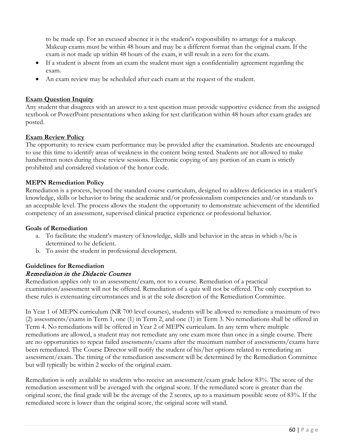to be made up. For an excused absence it is the student's responsibility to arrange for a makeup. Makeup exams must be within 48 hours and may be a different format than the original exam. If the exam is not made up within 48 hours of the exam, it will result in a zero for the exam.

- If a student is absent from an exam the student must sign a confidentiality agreement regarding the exam.
- An exam review may be scheduled after each exam at the request of the student.

#### **Exam Question Inquiry**

Any student that disagrees with an answer to a test question must provide supportive evidence from the assigned textbook or PowerPoint presentations when asking for test clarification within 48 hours after exam grades are posted.

# **Exam Review Policy**

The opportunity to review exam performance may be provided after the examination. Students are encouraged to use this time to identify areas of weakness in the content being tested. Students are not allowed to make handwritten notes during these review sessions. Electronic copying of any portion of an exam is strictly prohibited and considered violation of the honor code.

#### **MEPN Remediation Policy**

Remediation is a process, beyond the standard course curriculum, designed to address deficiencies in a student's knowledge, skills or behavior to bring the academic and/or professionalism competencies and/or standards to an acceptable level. The process allows the student the opportunity to demonstrate achievement of the identified competency of an assessment, supervised clinical practice experience or professional behavior.

#### **Goals of Remediation**

- a. To facilitate the student's mastery of knowledge, skills and behavior in the areas in which s/he is determined to be deficient.
- b. To assist the student in professional development.

#### **Guidelines for Remediation** Remediation in the Didactic Courses

Remediation applies only to an assessment/exam, not to a course. Remediation of a practical examination/assessment will not be offered. Remediation of a quiz will not be offered. The only exception to these rules is extenuating circumstances and is at the sole discretion of the Remediation Committee.

In Year 1 of MEPN curriculum (NR 700 level courses), students will be allowed to remediate a maximum of two (2) assessments/exams in Term 1, one (1) in Term 2, and one (1) in Term 3. No remediations shall be offered in Term 4. No remediations will be offered in Year 2 of MEPN curriculum. In any term where multiple remediations are allowed, a student may not remediate any one exam more than once in a single course. There are no opportunities to repeat failed assessments/exams after the maximum number of assessments/exams have been remediated. The Course Director will notify the student of his/her options related to remediating an assessment/exam. The timing of the remediation assessment will be determined by the Remediation Committee but will typically be within 2 weeks of the original exam.

Remediation is only available to students who receive an assessment/exam grade below 83%. The score of the remediation assessment will be averaged with the original score. If the remediated score is greater than the original score, the final grade will be the average of the 2 scores, up to a maximum possible score of 83%. If the remediated score is lower than the original score, the original score will stand.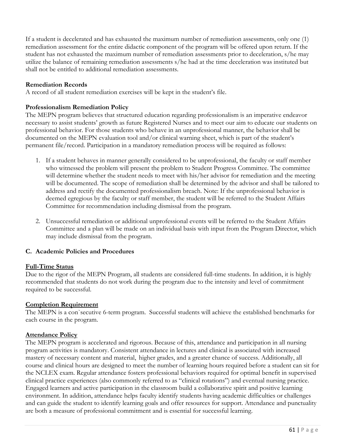If a student is decelerated and has exhausted the maximum number of remediation assessments, only one (1) remediation assessment for the entire didactic component of the program will be offered upon return. If the student has not exhausted the maximum number of remediation assessments prior to deceleration, s/he may utilize the balance of remaining remediation assessments s/he had at the time deceleration was instituted but shall not be entitled to additional remediation assessments.

#### **Remediation Records**

A record of all student remediation exercises will be kept in the student's file.

#### **Professionalism Remediation Policy**

The MEPN program believes that structured education regarding professionalism is an imperative endeavor necessary to assist students' growth as future Registered Nurses and to meet our aim to educate our students on professional behavior. For those students who behave in an unprofessional manner, the behavior shall be documented on the MEPN evaluation tool and/or clinical warning sheet, which is part of the student's permanent file/record. Participation in a mandatory remediation process will be required as follows:

- 1. If a student behaves in manner generally considered to be unprofessional, the faculty or staff member who witnessed the problem will present the problem to Student Progress Committee. The committee will determine whether the student needs to meet with his/her advisor for remediation and the meeting will be documented. The scope of remediation shall be determined by the advisor and shall be tailored to address and rectify the documented professionalism breach. Note: If the unprofessional behavior is deemed egregious by the faculty or staff member, the student will be referred to the Student Affairs Committee for recommendation including dismissal from the program.
- 2. Unsuccessful remediation or additional unprofessional events will be referred to the Student Affairs Committee and a plan will be made on an individual basis with input from the Program Director, which may include dismissal from the program.

#### **C. Academic Policies and Procedures**

#### **Full-Time Status**

Due to the rigor of the MEPN Program, all students are considered full-time students. In addition, it is highly recommended that students do not work during the program due to the intensity and level of commitment required to be successful.

#### **Completion Requirement**

The MEPN is a con`secutive 6-term program. Successful students will achieve the established benchmarks for each course in the program.

#### **Attendance Policy**

The MEPN program is accelerated and rigorous. Because of this, attendance and participation in all nursing program activities is mandatory. Consistent attendance in lectures and clinical is associated with increased mastery of necessary content and material, higher grades, and a greater chance of success. Additionally, all course and clinical hours are designed to meet the number of learning hours required before a student can sit for the NCLEX exam. Regular attendance fosters professional behaviors required for optimal benefit in supervised clinical practice experiences (also commonly referred to as "clinical rotations") and eventual nursing practice. Engaged learners and active participation in the classroom build a collaborative spirit and positive learning environment. In addition, attendance helps faculty identify students having academic difficulties or challenges and can guide the student to identify learning goals and offer resources for support. Attendance and punctuality are both a measure of professional commitment and is essential for successful learning.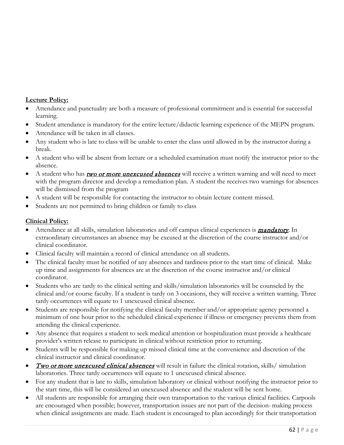# **Lecture Policy:**

- Attendance and punctuality are both a measure of professional commitment and is essential for successful learning.
- Student attendance is mandatory for the entire lecture/didactic learning experience of the MEPN program.
- Attendance will be taken in all classes.
- Any student who is late to class will be unable to enter the class until allowed in by the instructor during a break.
- A student who will be absent from lecture or a scheduled examination must notify the instructor prior to the absence.
- A student who has **two or more unexcused absences** will receive a written warning and will need to meet with the program director and develop a remediation plan. A student the receives two warnings for absences will be dismissed from the program
- A student will be responsible for contacting the instructor to obtain lecture content missed.
- Students are not permitted to bring children or family to class

# **Clinical Policy:**

- Attendance at all skills, simulation laboratories and off campus clinical experiences is **mandatory**. In extraordinary circumstances an absence may be excused at the discretion of the course instructor and/or clinical coordinator.
- Clinical faculty will maintain a record of clinical attendance on all students.
- The clinical faculty must be notified of any absences and tardiness prior to the start time of clinical. Make up time and assignments for absences are at the discretion of the course instructor and/or clinical coordinator.
- Students who are tardy to the clinical setting and skills/simulation laboratories will be counseled by the clinical and/or course faculty. If a student is tardy on 3 occasions, they will receive a written warning. Three tardy occurrences will equate to 1 unexcused clinical absence.
- Students are responsible for notifying the clinical faculty member and/or appropriate agency personnel a minimum of one hour prior to the scheduled clinical experience if illness or emergency prevents them from attending the clinical experience.
- Any absence that requires a student to seek medical attention or hospitalization must provide a healthcare provider's written release to participate in clinical without restriction prior to returning.
- Students will be responsible for making up missed clinical time at the convenience and discretion of the clinical instructor and clinical coordinator.
- Two or more unexcused clinical absences will result in failure the clinical rotation, skills/ simulation laboratories. Three tardy occurrences will equate to 1 unexcused clinical absence.
- For any student that is late to skills, simulation laboratory or clinical without notifying the instructor prior to the start time, this will be considered an unexcused absence and the student will be sent home.
- All students are responsible for arranging their own transportation to the various clinical facilities. Carpools are encouraged when possible; however, transportation issues are not part of the decision- making process when clinical assignments are made. Each student is encouraged to plan accordingly for their transportation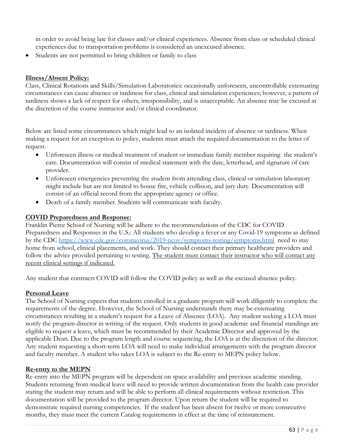in order to avoid being late for classes and/or clinical experiences. Absence from class or scheduled clinical experiences due to transportation problems is considered an unexcused absence.

• Students are not permitted to bring children or family to class

#### **Illness/Absent Policy:**

Class, Clinical Rotations and Skills/Simulation Laboratories: occasionally unforeseen, uncontrollable extenuating circumstances can cause absence or tardiness for class, clinical and simulation experiences; however, a pattern of tardiness shows a lack of respect for others, irresponsibility, and is unacceptable. An absence may be excused at the discretion of the course instructor and/or clinical coordinator.

Below are listed some circumstances which might lead to an isolated incident of absence or tardiness. When making a request for an exception to policy, students must attach the required documentation to the letter of request.

- Unforeseen illness or medical treatment of student or immediate family member requiring the student's care. Documentation will consist of medical statement with the date, letterhead, and signature of care provider.
- Unforeseen emergencies preventing the student from attending class, clinical or simulation laboratory might include but are not limited to house fire, vehicle collision, and jury duty. Documentation will consist of an official record from the appropriate agency or office.
- Death of a family member. Students will communicate with faculty.

#### **COVID Preparedness and Response:**

Franklin Pierce School of Nursing will be adhere to the recommendations of the CDC for COVID Preparedness and Responses in the U.S.: All students who develop a fever or any Covid-19 symptoms as defined by the CDC<https://www.cdc.gov/coronavirus/2019-ncov/symptoms-testing/symptoms.html> need to stay home from school, clinical placements, and work. They should contact their primary healthcare providers and follow the advice provided pertaining to testing. The student must contact their instructor who will contact any recent clinical settings if indicated.

Any student that contracts COVID will follow the COVID policy as well as the excused absence policy.

#### **Personal Leave**

The School of Nursing expects that students enrolled in a graduate program will work diligently to complete the requirements of the degree. However, the School of Nursing understands there may be extenuating circumstances resulting in a student's request for a Leave of Absence (LOA). Any student seeking a LOA must notify the program director in writing of the request. Only students in good academic and financial standings are eligible to request a leave, which must be recommended by their Academic Director and approved by the applicable Dean. Due to the program length and course sequencing, the LOA is at the discretion of the director. Any student requesting a short-term LOA will need to make individual arrangements with the program director and faculty member. A student who takes LOA is subject to the Re-entry to MEPN policy below.

#### **Re-entry to the MEPN**

Re-entry into the MEPN program will be dependent on space availability and previous academic standing. Students returning from medical leave will need to provide written documentation from the health care provider stating the student may return and will be able to perform all clinical requirements without restriction. This documentation will be provided to the program director. Upon return the student will be required to demonstrate required nursing competencies. If the student has been absent for twelve or more consecutive months, they must meet the current Catalog requirements in effect at the time of reinstatement.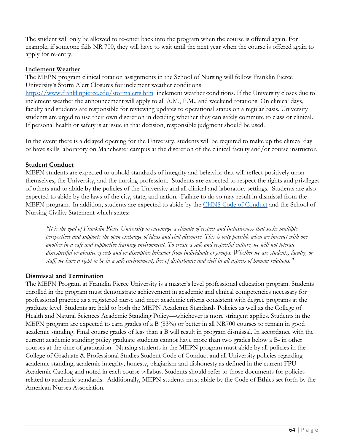The student will only be allowed to re-enter back into the program when the course is offered again. For example, if someone fails NR 700, they will have to wait until the next year when the course is offered again to apply for re-entry.

#### **Inclement Weather**

The MEPN program clinical rotation assignments in the School of Nursing will follow Franklin Pierce University's Storm Alert Closures for inclement weather conditions <https://www.franklinpierce.edu/stormalerts.htm>inclement weather conditions. If the University closes due to inclement weather the announcement will apply to all A.M., P.M., and weekend rotations. On clinical days, faculty and students are responsible for reviewing updates to operational status on a regular basis. University students are urged to use their own discretion in deciding whether they can safely commute to class or clinical. If personal health or safety is at issue in that decision, responsible judgment should be used.

In the event there is a delayed opening for the University, students will be required to make up the clinical day or have skills laboratory on Manchester campus at the discretion of the clinical faculty and/or course instructor.

#### **Student Conduct**

MEPN students are expected to uphold standards of integrity and behavior that will reflect positively upon themselves, the University, and the nursing profession. Students are expected to respect the rights and privileges of others and to abide by the policies of the University and all clinical and laboratory settings. Students are also expected to abide by the laws of the city, state, and nation. Failure to do so may result in dismissal from the MEPN program. In addition, students are expected to abide by the CHNS Code of [Conduct](https://www.franklinpierce.edu/academics/gradstudies/programs_of_study/CGPS_Code_of_Student_Conduct.pdf) and the School of Nursing Civility Statement which states:

*"It is the goal of Franklin Pierce University to encourage a climate of respect and inclusiveness that seeks multiple perspectives and supports the open exchange of ideas and civil discourse. This is only possible when we interact with one another in a safe and supportive learning environment. To create a safe and respectful culture, we will not tolerate disrespectful or abusive speech and or disruptive behavior from individuals or groups. Whether we are students, faculty, or staff, we have a right to be in a safe environment, free of disturbance and civil in all aspects of human relations."*

#### **Dismissal and Termination**

The MEPN Program at Franklin Pierce University is a master's level professional education program. Students enrolled in the program must demonstrate achievement in academic and clinical competencies necessary for professional practice as a registered nurse and meet academic criteria consistent with degree programs at the graduate level. Students are held to both the MEPN Academic Standards Policies as well as the College of Health and Natural Sciences Academic Standing Policy—whichever is more stringent applies. Students in the MEPN program are expected to earn grades of a B (83%) or better in all NR700 courses to remain in good academic standing. Final course grades of less than a B will result in program dismissal. In accordance with the current academic standing policy graduate students cannot have more than two grades below a B- in other courses at the time of graduation. Nursing students in the MEPN program must abide by all policies in the College of Graduate & Professional Studies Student Code of Conduct and all University policies regarding academic standing, academic integrity, honesty, plagiarism and dishonesty as defined in the current FPU Academic Catalog and noted in each course syllabus. Students should refer to those documents for policies related to academic standards. Additionally, MEPN students must abide by the Code of Ethics set forth by the American Nurses Association.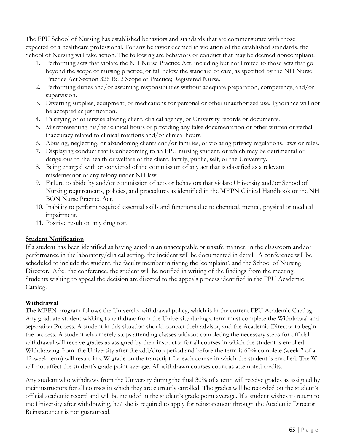The FPU School of Nursing has established behaviors and standards that are commensurate with those expected of a healthcare professional. For any behavior deemed in violation of the established standards, the School of Nursing will take action. The following are behaviors or conduct that may be deemed noncompliant.

- 1. Performing acts that violate the NH Nurse Practice Act, including but not limited to those acts that go beyond the scope of nursing practice, or fall below the standard of care, as specified by the NH Nurse Practice Act Section 326-B:12 Scope of Practice; Registered Nurse.
- 2. Performing duties and/or assuming responsibilities without adequate preparation, competency, and/or supervision.
- 3. Diverting supplies, equipment, or medications for personal or other unauthorized use. Ignorance will not be accepted as justification.
- 4. Falsifying or otherwise altering client, clinical agency, or University records or documents.
- 5. Misrepresenting his/her clinical hours or providing any false documentation or other written or verbal inaccuracy related to clinical rotations and/or clinical hours.
- 6. Abusing, neglecting, or abandoning clients and/or families, or violating privacy regulations, laws or rules.
- 7. Displaying conduct that is unbecoming to an FPU nursing student, or which may be detrimental or dangerous to the health or welfare of the client, family, public, self, or the University.
- 8. Being charged with or convicted of the commission of any act that is classified as a relevant misdemeanor or any felony under NH law.
- 9. Failure to abide by and/or commission of acts or behaviors that violate University and/or School of Nursing requirements, policies, and procedures as identified in the MEPN Clinical Handbook or the NH BON Nurse Practice Act.
- 10. Inability to perform required essential skills and functions due to chemical, mental, physical or medical impairment.
- 11. Positive result on any drug test.

#### **Student Notification**

If a student has been identified as having acted in an unacceptable or unsafe manner, in the classroom and/or performance in the laboratory/clinical setting, the incident will be documented in detail. A conference will be scheduled to include the student, the faculty member initiating the 'complaint', and the School of Nursing Director. After the conference, the student will be notified in writing of the findings from the meeting. Students wishing to appeal the decision are directed to the appeals process identified in the FPU Academic Catalog.

# **Withdrawal**

The MEPN program follows the University withdrawal policy, which is in the current FPU Academic Catalog. Any graduate student wishing to withdraw from the University during a term must complete the Withdrawal and separation Process. A student in this situation should contact their advisor, and the Academic Director to begin the process. A student who merely stops attending classes without completing the necessary steps for official withdrawal will receive grades as assigned by their instructor for all courses in which the student is enrolled. Withdrawing from the University after the add/drop period and before the term is 60% complete (week 7 of a 12-week term) will result in a W grade on the transcript for each course in which the student is enrolled. The W will not affect the student's grade point average. All withdrawn courses count as attempted credits.

Any student who withdraws from the University during the final 30% of a term will receive grades as assigned by their instructors for all courses in which they are currently enrolled. The grades will be recorded on the student's official academic record and will be included in the student's grade point average. If a student wishes to return to the University after withdrawing, he/ she is required to apply for reinstatement through the Academic Director. Reinstatement is not guaranteed.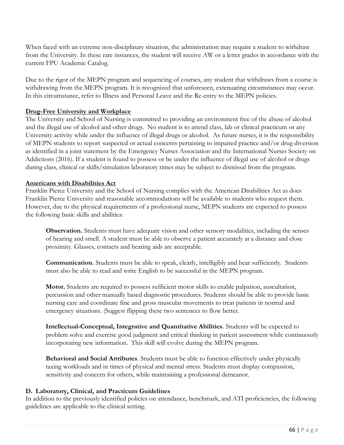When faced with an extreme non-disciplinary situation, the administration may require a student to withdraw from the University. In these rare instances, the student will receive AW or a letter grades in accordance with the current FPU Academic Catalog.

Due to the rigor of the MEPN program and sequencing of courses, any student that withdraws from a course is withdrawing from the MEPN program. It is recognized that unforeseen, extenuating circumstances may occur. In this circumstance, refer to Illness and Personal Leave and the Re-entry to the MEPN policies.

#### **Drug-Free University and Workplace**

The University and School of Nursing is committed to providing an environment free of the abuse of alcohol and the illegal use of alcohol and other drugs. No student is to attend class, lab or clinical practicum or any University activity while under the influence of illegal drugs or alcohol. As future nurses, it is the responsibility of MEPN students to report suspected or actual concerns pertaining to impaired practice and/or drug diversion as identified in a joint statement by the Emergency Nurses Association and the International Nurses Society on Addictions (2016). If a student is found to possess or be under the influence of illegal use of alcohol or drugs during class, clinical or skills/simulation laboratory times may be subject to dismissal from the program.

#### **Americans with Disabilities Act**

Franklin Pierce University and the School of Nursing complies with the American Disabilities Act as does Franklin Pierce University and reasonable accommodations will be available to students who request them. However, due to the physical requirements of a professional nurse, MEPN students are expected to possess the following basic skills and abilities:

**Observation.** Students must have adequate vision and other sensory modalities, including the senses of hearing and smell. A student must be able to observe a patient accurately at a distance and close proximity. Glasses, contacts and hearing aids are acceptable.

**Communication.** Students must be able to speak, clearly, intelligibly and hear sufficiently. Students must also be able to read and write English to be successful in the MEPN program.

**Motor.** Students are required to possess sufficient motor skills to enable palpation, auscultation, percussion and other manually based diagnostic procedures. Students should be able to provide basic nursing care and coordinate fine and gross muscular movements to treat patients in normal and emergency situations. (Suggest flipping these two sentences to flow better.

**Intellectual-Conceptual, Integrative and Quantitative Abilities**. Students will be expected to problem solve and exercise good judgment and critical thinking in patient assessment while continuously incorporating new information. This skill will evolve during the MEPN program.

**Behavioral and Social Attributes**. Students must be able to function effectively under physically taxing workloads and in times of physical and mental stress. Students must display compassion, sensitivity and concern for others, while maintaining a professional demeanor.

#### **D. Laboratory, Clinical, and Practicum Guidelines**

In addition to the previously identified policies on attendance, benchmark, and ATI proficiencies, the following guidelines are applicable to the clinical setting.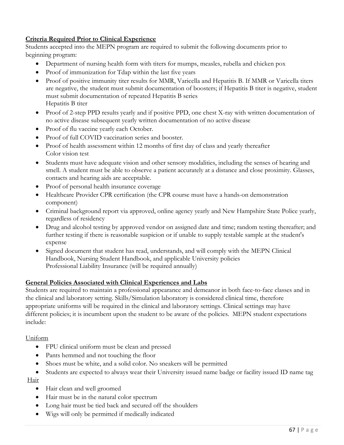# **Criteria Required Prior to Clinical Experience**

Students accepted into the MEPN program are required to submit the following documents prior to beginning program:

- Department of nursing health form with titers for mumps, measles, rubella and chicken pox
- Proof of immunization for Tdap within the last five years
- Proof of positive immunity titer results for MMR, Varicella and Hepatitis B. If MMR or Varicella titers are negative, the student must submit documentation of boosters; if Hepatitis B titer is negative, student must submit documentation of repeated Hepatitis B series Hepatitis B titer
- Proof of 2-step PPD results yearly and if positive PPD, one chest X-ray with written documentation of no active disease subsequent yearly written documentation of no active disease
- Proof of flu vaccine yearly each October.
- Proof of full COVID vaccination series and booster.
- Proof of health assessment within 12 months of first day of class and yearly thereafter Color vision test
- Students must have adequate vision and other sensory modalities, including the senses of hearing and smell. A student must be able to observe a patient accurately at a distance and close proximity. Glasses, contacts and hearing aids are acceptable.
- Proof of personal health insurance coverage
- Healthcare Provider CPR certification (the CPR course must have a hands-on demonstration component)
- Criminal background report via approved, online agency yearly and New Hampshire State Police yearly, regardless of residency
- Drug and alcohol testing by approved vendor on assigned date and time; random testing thereafter; and further testing if there is reasonable suspicion or if unable to supply testable sample at the student's expense
- Signed document that student has read, understands, and will comply with the MEPN Clinical Handbook, Nursing Student Handbook, and applicable University policies Professional Liability Insurance (will be required annually)

#### **General Policies Associated with Clinical Experiences and Labs**

Students are required to maintain a professional appearance and demeanor in both face-to-face classes and in the clinical and laboratory setting. Skills/Simulation laboratory is considered clinical time, therefore appropriate uniforms will be required in the clinical and laboratory settings. Clinical settings may have different policies; it is incumbent upon the student to be aware of the policies. MEPN student expectations include:

#### Uniform

- FPU clinical uniform must be clean and pressed
- Pants hemmed and not touching the floor
- Shoes must be white, and a solid color. No sneakers will be permitted
- Students are expected to always wear their University issued name badge or facility issued ID name tag Hair
	- Hair clean and well groomed
	- Hair must be in the natural color spectrum
	- Long hair must be tied back and secured off the shoulders
	- Wigs will only be permitted if medically indicated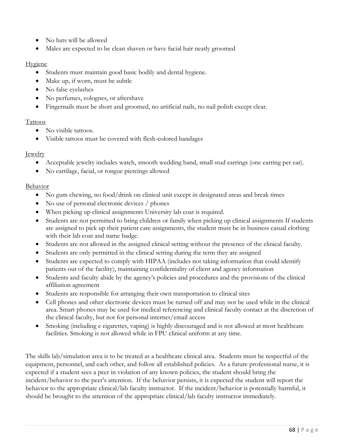- No hats will be allowed
- Males are expected to be clean shaven or have facial hair neatly groomed

#### Hygiene

- Students must maintain good basic bodily and dental hygiene.
- Make up, if worn, must be subtle
- No false eyelashes
- No perfumes, colognes, or aftershave
- Fingernails must be short and groomed, no artificial nails, no nail polish except clear.

#### Tattoos

- No visible tattoos.
- Visible tattoos must be covered with flesh-colored bandages

#### Jewelry

- Acceptable jewelry includes watch, smooth wedding band, small stud earrings (one earring per ear).
- No cartilage, facial, or tongue piercings allowed

#### Behavior

- No gum chewing, no food/drink on clinical unit except in designated areas and break times
- No use of personal electronic devices / phones
- When picking up clinical assignments University lab coat is required.
- Students are not permitted to bring children or family when picking up clinical assignments If students are assigned to pick up their patient care assignments, the student must be in business casual clothing with their lab coat and name badge.
- Students are not allowed in the assigned clinical setting without the presence of the clinical faculty.
- Students are only permitted in the clinical setting during the term they are assigned
- Students are expected to comply with HIPAA (includes not taking information that could identify patients out of the facility), maintaining confidentiality of client and agency information
- Students and faculty abide by the agency's policies and procedures and the provisions of the clinical affiliation agreement
- Students are responsible for arranging their own transportation to clinical sites
- Cell phones and other electronic devices must be turned off and may not be used while in the clinical area. Smart phones may be used for medical referencing and clinical faculty contact at the discretion of the clinical faculty, but not for personal internet/email access
- Smoking (including e cigarettes, vaping) is highly discouraged and is not allowed at most healthcare facilities. Smoking is not allowed while in FPU clinical uniform at any time.

The skills lab/simulation area is to be treated as a healthcare clinical area. Students must be respectful of the equipment, personnel, and each other, and follow all established policies. As a future professional nurse, it is expected if a student sees a peer in violation of any known policies, the student should bring the incident/behavior to the peer's attention. If the behavior persists, it is expected the student will report the behavior to the appropriate clinical/lab faculty instructor. If the incident/behavior is potentially harmful, it should be brought to the attention of the appropriate clinical/lab faculty instructor immediately.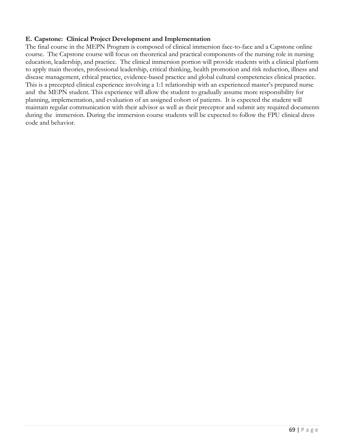#### **E. Capstone: Clinical Project Development and Implementation**

The final course in the MEPN Program is composed of clinical immersion face-to-face and a Capstone online course. The Capstone course will focus on theoretical and practical components of the nursing role in nursing education, leadership, and practice. The clinical immersion portion will provide students with a clinical platform to apply main theories, professional leadership, critical thinking, health promotion and risk reduction, illness and disease management, ethical practice, evidence-based practice and global cultural competencies clinical practice. This is a precepted clinical experience involving a 1:1 relationship with an experienced master's prepared nurse and the MEPN student. This experience will allow the student to gradually assume more responsibility for planning, implementation, and evaluation of an assigned cohort of patients. It is expected the student will maintain regular communication with their advisor as well as their preceptor and submit any required documents during the immersion. During the immersion course students will be expected to follow the FPU clinical dress code and behavior.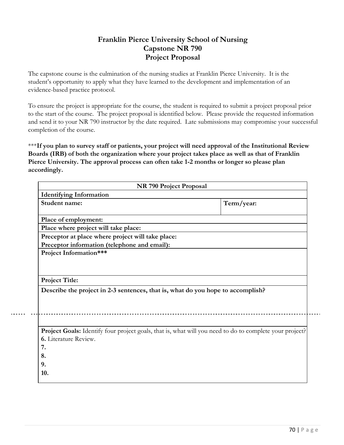# **Franklin Pierce University School of Nursing Capstone NR 790 Project Proposal**

The capstone course is the culmination of the nursing studies at Franklin Pierce University. It is the student's opportunity to apply what they have learned to the development and implementation of an evidence-based practice protocol.

To ensure the project is appropriate for the course, the student is required to submit a project proposal prior to the start of the course. The project proposal is identified below. Please provide the requested information and send it to your NR 790 instructor by the date required. Late submissions may compromise your successful completion of the course.

\*\*\***If you plan to survey staff or patients, your project will need approval of the Institutional Review Boards (IRB) of both the organization where your project takes place as well as that of Franklin Pierce University. The approval process can often take 1-2 months or longer so please plan accordingly.**

|                                                                                                         | NR 790 Project Proposal |
|---------------------------------------------------------------------------------------------------------|-------------------------|
| <b>Identifying Information</b>                                                                          |                         |
| Student name:                                                                                           | Term/year:              |
| Place of employment:                                                                                    |                         |
| Place where project will take place:                                                                    |                         |
| Preceptor at place where project will take place:                                                       |                         |
| Preceptor information (telephone and email):                                                            |                         |
| Project Information***                                                                                  |                         |
|                                                                                                         |                         |
|                                                                                                         |                         |
| <b>Project Title:</b>                                                                                   |                         |
|                                                                                                         |                         |
|                                                                                                         |                         |
| Describe the project in 2-3 sentences, that is, what do you hope to accomplish?                         |                         |
|                                                                                                         |                         |
|                                                                                                         |                         |
|                                                                                                         |                         |
| Project Goals: Identify four project goals, that is, what will you need to do to complete your project? |                         |
| 6. Literature Review.                                                                                   |                         |
| 7.                                                                                                      |                         |
|                                                                                                         |                         |
| 8.<br>9.                                                                                                |                         |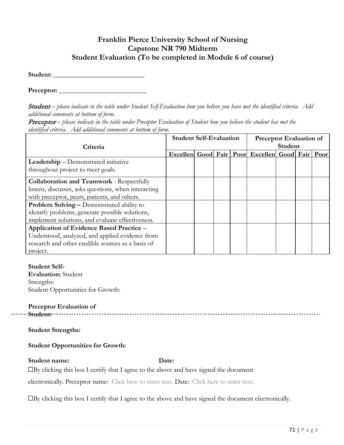# **Franklin Pierce University School of Nursing Capstone NR 790 Midterm Student Evaluation (To be completed in Module 6 of course)**

**Student:** \_\_\_\_\_\_\_\_\_\_\_\_\_\_\_\_\_\_\_\_\_\_\_\_\_\_\_

Preceptor:

Student – please indicate in the table under Student Self-Evaluation how you believe you have met the identified criteria. Add *additional comments at bottom of form.*

**Preceptor** – please indicate in the table under Preceptor Evaluation of Student how you believe the student has met the *identified criteria. Add additional comments at bottom of form.*

|                                                      | <b>Student Self-Evaluation</b> |  |  |  | <b>Preceptor Evaluation of</b>                      |  |  |  |
|------------------------------------------------------|--------------------------------|--|--|--|-----------------------------------------------------|--|--|--|
| Criteria                                             |                                |  |  |  | Student                                             |  |  |  |
|                                                      |                                |  |  |  | Excellen Good Fair   Poor Excellen Good Fair   Poor |  |  |  |
| <b>Leadership</b> – Demonstrated initiative          |                                |  |  |  |                                                     |  |  |  |
| throughout project to meet goals.                    |                                |  |  |  |                                                     |  |  |  |
| <b>Collaboration and Teamwork - Respectfully</b>     |                                |  |  |  |                                                     |  |  |  |
| listens, discusses, asks questions, when interacting |                                |  |  |  |                                                     |  |  |  |
| with preceptor, peers, patients, and others.         |                                |  |  |  |                                                     |  |  |  |
| Problem Solving - Demonstrated ability to            |                                |  |  |  |                                                     |  |  |  |
| identify problems, generate possible solutions,      |                                |  |  |  |                                                     |  |  |  |
| implement solutions, and evaluate effectiveness.     |                                |  |  |  |                                                     |  |  |  |
| Application of Evidence Based Practice -             |                                |  |  |  |                                                     |  |  |  |
| Understood, analyzed, and applied evidence from      |                                |  |  |  |                                                     |  |  |  |
| research and other credible sources as a basis of    |                                |  |  |  |                                                     |  |  |  |
| project.                                             |                                |  |  |  |                                                     |  |  |  |

#### **Student Self-**

**Evaluation:** Student Strengths: Student Opportunities for Growth:

**Preceptor Evaluation of Student:**

#### **Student Strengths:**

#### **Student Opportunities for Growth:**

#### **Student name: Date:**

☐By clicking this box I certify that I agree to the above and have signed the document

electronically. Preceptor name: Click here to enter text. Date: Click here to enter text.

☐By clicking this box I certify that I agree to the above and have signed the document electronically.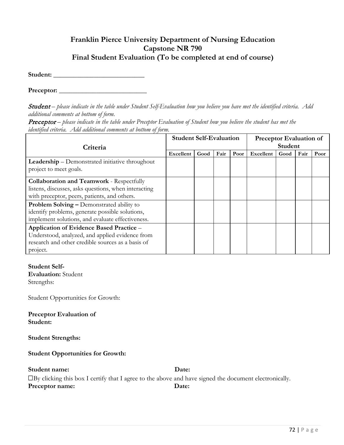# **Franklin Pierce University Department of Nursing Education Capstone NR 790 Final Student Evaluation (To be completed at end of course)**

**Student:** \_\_\_\_\_\_\_\_\_\_\_\_\_\_\_\_\_\_\_\_\_\_\_\_\_\_\_

**Preceptor:** \_\_\_\_\_\_\_\_\_\_\_\_\_\_\_\_\_\_\_\_\_\_\_\_\_\_

Student – please indicate in the table under Student Self-Evaluation how you believe you have met the identified criteria. Add *additional comments at bottom of form.*

**Preceptor** – please indicate in the table under Preceptor Evaluation of Student how you believe the student has met the *identified criteria. Add additional comments at bottom of form.*

|                                                      | <b>Student Self-Evaluation</b> |      |      |      | <b>Preceptor Evaluation of</b> |      |      |      |
|------------------------------------------------------|--------------------------------|------|------|------|--------------------------------|------|------|------|
| Criteria                                             |                                |      |      |      | Student                        |      |      |      |
|                                                      | Excellent                      | Good | Fair | Poor | Excellent                      | Good | Fair | Poor |
| Leadership - Demonstrated initiative throughout      |                                |      |      |      |                                |      |      |      |
| project to meet goals.                               |                                |      |      |      |                                |      |      |      |
| <b>Collaboration and Teamwork - Respectfully</b>     |                                |      |      |      |                                |      |      |      |
| listens, discusses, asks questions, when interacting |                                |      |      |      |                                |      |      |      |
| with preceptor, peers, patients, and others.         |                                |      |      |      |                                |      |      |      |
| Problem Solving - Demonstrated ability to            |                                |      |      |      |                                |      |      |      |
| identify problems, generate possible solutions,      |                                |      |      |      |                                |      |      |      |
| implement solutions, and evaluate effectiveness.     |                                |      |      |      |                                |      |      |      |
| Application of Evidence Based Practice -             |                                |      |      |      |                                |      |      |      |
| Understood, analyzed, and applied evidence from      |                                |      |      |      |                                |      |      |      |
| research and other credible sources as a basis of    |                                |      |      |      |                                |      |      |      |
| project.                                             |                                |      |      |      |                                |      |      |      |

#### **Student Self-**

**Evaluation:** Student Strengths:

Student Opportunities for Growth:

**Preceptor Evaluation of Student:**

**Student Strengths:**

#### **Student Opportunities for Growth:**

**Student name: Date:**

☐By clicking this box I certify that I agree to the above and have signed the document electronically. **Preceptor name: Date:**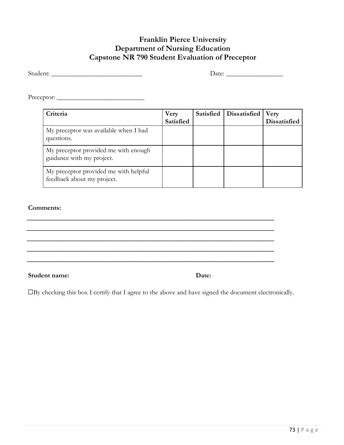## **Franklin Pierce University Department of Nursing Education Capstone NR 790 Student Evaluation of Preceptor**

| Student: |  |
|----------|--|
|          |  |

Student: \_\_\_\_\_\_\_\_\_\_\_\_\_\_\_\_\_\_\_\_\_\_\_\_\_\_\_ Date: \_\_\_\_\_\_\_\_\_\_\_\_\_\_\_\_\_

Preceptor: \_\_\_\_\_\_\_\_\_\_\_\_\_\_\_\_\_\_\_\_\_\_\_\_\_\_

| Criteria                                                            | <b>Very</b><br>Satisfied | Satisfied   Dissatisfied | Very<br>Dissatisfied |
|---------------------------------------------------------------------|--------------------------|--------------------------|----------------------|
| My preceptor was available when I had<br>questions.                 |                          |                          |                      |
| My preceptor provided me with enough<br>guidance with my project.   |                          |                          |                      |
| My preceptor provided me with helpful<br>feedback about my project. |                          |                          |                      |

#### **Comments:**

**Student name: Date:**

☐By checking this box I certify that I agree to the above and have signed the document electronically.

\_\_\_\_\_\_\_\_\_\_\_\_\_\_\_\_\_\_\_\_\_\_\_\_\_\_\_\_\_\_\_\_\_\_\_\_\_\_\_\_\_\_\_\_\_\_\_\_\_\_\_\_\_\_\_ \_\_\_\_\_\_\_\_\_\_\_\_\_\_\_\_\_\_\_\_\_\_\_\_\_\_\_\_\_\_\_\_\_\_\_\_\_\_\_\_\_\_\_\_\_\_\_\_\_\_\_\_\_\_\_ \_\_\_\_\_\_\_\_\_\_\_\_\_\_\_\_\_\_\_\_\_\_\_\_\_\_\_\_\_\_\_\_\_\_\_\_\_\_\_\_\_\_\_\_\_\_\_\_\_\_\_\_\_\_\_ \_\_\_\_\_\_\_\_\_\_\_\_\_\_\_\_\_\_\_\_\_\_\_\_\_\_\_\_\_\_\_\_\_\_\_\_\_\_\_\_\_\_\_\_\_\_\_\_\_\_\_\_\_\_\_ \_\_\_\_\_\_\_\_\_\_\_\_\_\_\_\_\_\_\_\_\_\_\_\_\_\_\_\_\_\_\_\_\_\_\_\_\_\_\_\_\_\_\_\_\_\_\_\_\_\_\_\_\_\_\_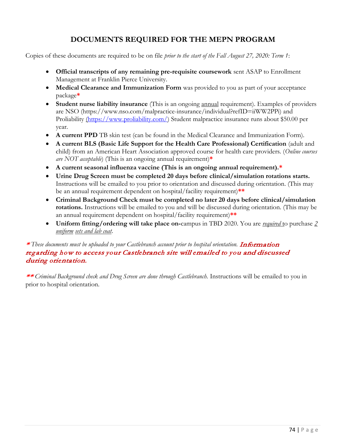# **DOCUMENTS REQUIRED FOR THE MEPN PROGRAM**

Copies of these documents are required to be on file *prior to the start of the Fall August 27, 2020: Term 1*:

- **Official transcripts of any remaining pre-requisite coursework** sent ASAP to Enrollment Management at Franklin Pierce University.
- **Medical Clearance and Immunization Form** was provided to you as part of your acceptance package**\***
- **Student nurse liability insurance** (This is an ongoing annual requirement). Examples of providers are NSO (https://www.nso.com/malpractice-insurance/individual?refID=iiWW2PPi) and Proliability [\(https://www.proliability.com/\)](https://www.proliability.com/) Student malpractice insurance runs about \$50.00 per year.
- **A current PPD** TB skin test (can be found in the Medical Clearance and Immunization Form).
- **A current BLS (Basic Life Support for the Health Care Professional) Certification** (adult and child) from an American Heart Association approved course for health care providers. (*Online courses are NOT acceptable*) (This is an ongoing annual requirement)**\***
- **A current seasonal influenza vaccine (This is an ongoing annual requirement).\***
- **Urine Drug Screen must be completed 20 days before clinical/simulation rotations starts.** Instructions will be emailed to you prior to orientation and discussed during orientation. (This may be an annual requirement dependent on hospital/facility requirement)**\*\***
- **Criminal Background Check must be completed no later 20 days before clinical/simulation rotations.** Instructions will be emailed to you and will be discussed during orientation. (This may be an annual requirement dependent on hospital/facility requirement)**\*\***
- **Uniform fitting/ordering will take place on-**campus in TBD 2020. You are *required* to purchase *2 uniform sets and lab coat*.

#### \* *These documents must be uploaded to your Castlebranch account prior to hospital orientation.* <sup>I</sup>nformatio<sup>n</sup> <sup>r</sup>eg <sup>a</sup><sup>r</sup>di<sup>n</sup>g how to <sup>a</sup>ccess you<sup>r</sup> Castlebranch <sup>s</sup>ite <sup>w</sup>ill <sup>e</sup>mailed to yo<sup>u</sup> and discussed du<sup>r</sup>i<sup>n</sup>g <sup>o</sup><sup>r</sup>ientation.

\*\* *Criminal Background check and Drug Screen are done through Castlebranch.* Instructions will be emailed to you in prior to hospital orientation.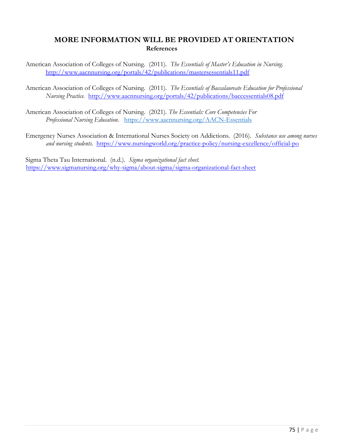## **MORE INFORMATION WILL BE PROVIDED AT ORIENTATION References**

American Association of Colleges of Nursing. (2011). *The Essentials of Master's Education in Nursing*. <http://www.aacnnursing.org/portals/42/publications/mastersessentials11.pdf>

American Association of Colleges of Nursing. (2011). *The Essentials of Baccalaureate Education for Professional Nursing Practice.* <http://www.aacnnursing.org/portals/42/publications/baccessentials08.pdf>

American Association of Colleges of Nursing. (2021). *The Essentials: Core Competencies For Professional Nursing Education.* <https://www.aacnnursing.org/AACN-Essentials>

Emergency Nurses Association & International Nurses Society on Addictions. (2016). *Substance use among nurses and nursing students.* <https://www.nursingworld.org/practice-policy/nursing-excellence/official-po>

Sigma Theta Tau International. (n.d.). *Sigma organizational fact sheet.* <https://www.sigmanursing.org/why-sigma/about-sigma/sigma-organizational-fact-sheet>